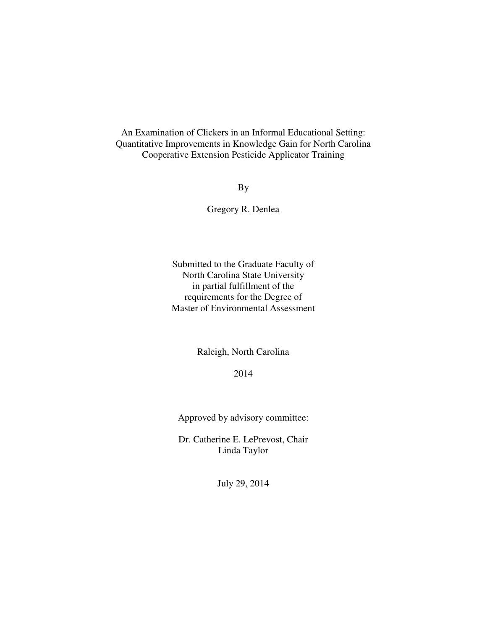An Examination of Clickers in an Informal Educational Setting: Quantitative Improvements in Knowledge Gain for North Carolina Cooperative Extension Pesticide Applicator Training

By

Gregory R. Denlea

Submitted to the Graduate Faculty of North Carolina State University in partial fulfillment of the requirements for the Degree of Master of Environmental Assessment

Raleigh, North Carolina

2014

Approved by advisory committee:

Dr. Catherine E. LePrevost, Chair Linda Taylor

July 29, 2014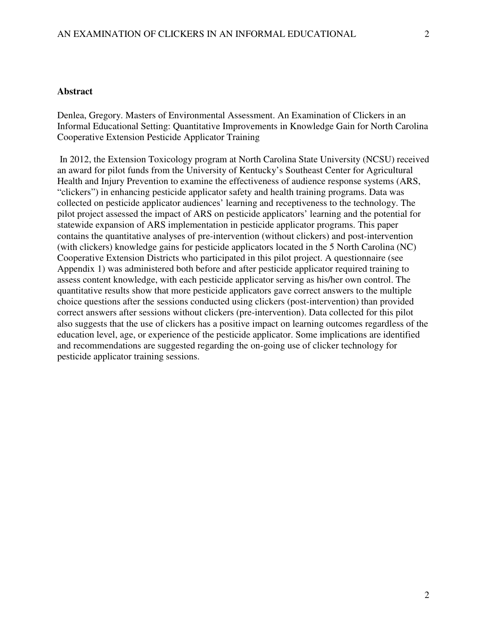### **Abstract**

Denlea, Gregory. Masters of Environmental Assessment. An Examination of Clickers in an Informal Educational Setting: Quantitative Improvements in Knowledge Gain for North Carolina Cooperative Extension Pesticide Applicator Training

 In 2012, the Extension Toxicology program at North Carolina State University (NCSU) received an award for pilot funds from the University of Kentucky's Southeast Center for Agricultural Health and Injury Prevention to examine the effectiveness of audience response systems (ARS, "clickers") in enhancing pesticide applicator safety and health training programs. Data was collected on pesticide applicator audiences' learning and receptiveness to the technology. The pilot project assessed the impact of ARS on pesticide applicators' learning and the potential for statewide expansion of ARS implementation in pesticide applicator programs. This paper contains the quantitative analyses of pre-intervention (without clickers) and post-intervention (with clickers) knowledge gains for pesticide applicators located in the 5 North Carolina (NC) Cooperative Extension Districts who participated in this pilot project. A questionnaire (see Appendix 1) was administered both before and after pesticide applicator required training to assess content knowledge, with each pesticide applicator serving as his/her own control. The quantitative results show that more pesticide applicators gave correct answers to the multiple choice questions after the sessions conducted using clickers (post-intervention) than provided correct answers after sessions without clickers (pre-intervention). Data collected for this pilot also suggests that the use of clickers has a positive impact on learning outcomes regardless of the education level, age, or experience of the pesticide applicator. Some implications are identified and recommendations are suggested regarding the on-going use of clicker technology for pesticide applicator training sessions.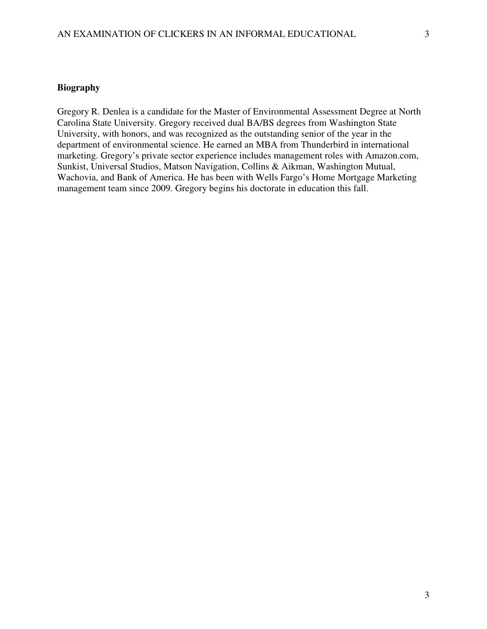### **Biography**

Gregory R. Denlea is a candidate for the Master of Environmental Assessment Degree at North Carolina State University. Gregory received dual BA/BS degrees from Washington State University, with honors, and was recognized as the outstanding senior of the year in the department of environmental science. He earned an MBA from Thunderbird in international marketing. Gregory's private sector experience includes management roles with Amazon.com, Sunkist, Universal Studios, Matson Navigation, Collins & Aikman, Washington Mutual, Wachovia, and Bank of America. He has been with Wells Fargo's Home Mortgage Marketing management team since 2009. Gregory begins his doctorate in education this fall.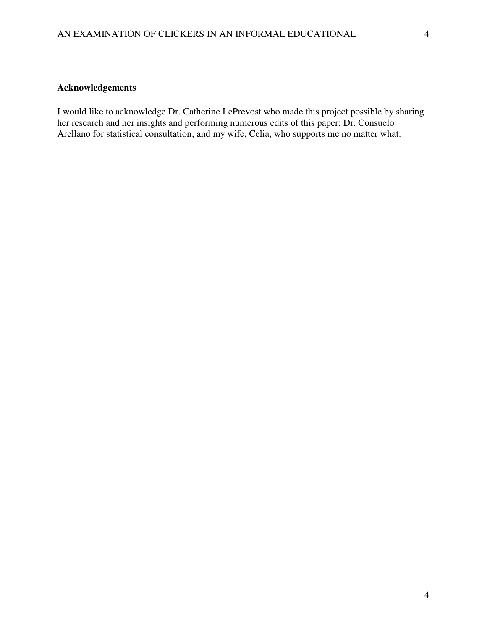### **Acknowledgements**

I would like to acknowledge Dr. Catherine LePrevost who made this project possible by sharing her research and her insights and performing numerous edits of this paper; Dr. Consuelo Arellano for statistical consultation; and my wife, Celia, who supports me no matter what.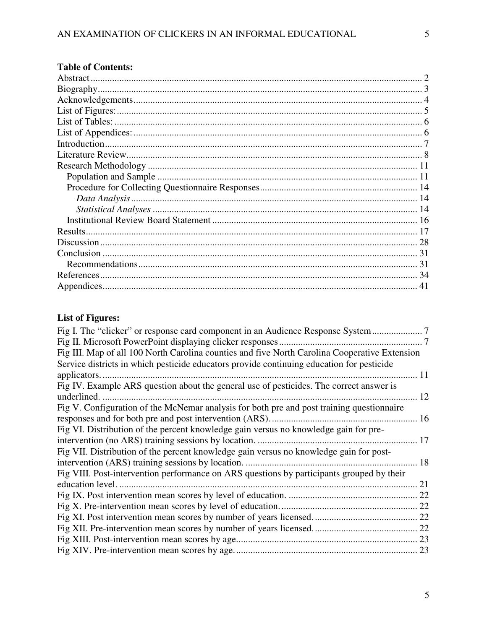## **Table of Contents:**

# **List of Figures:**

| Fig I. The "clicker" or response card component in an Audience Response System |
|--------------------------------------------------------------------------------|
|                                                                                |
|                                                                                |
|                                                                                |
| 11                                                                             |
|                                                                                |
| 12                                                                             |
|                                                                                |
|                                                                                |
|                                                                                |
| 17                                                                             |
|                                                                                |
| 18                                                                             |
|                                                                                |
| 21                                                                             |
|                                                                                |
|                                                                                |
|                                                                                |
|                                                                                |
|                                                                                |
|                                                                                |
|                                                                                |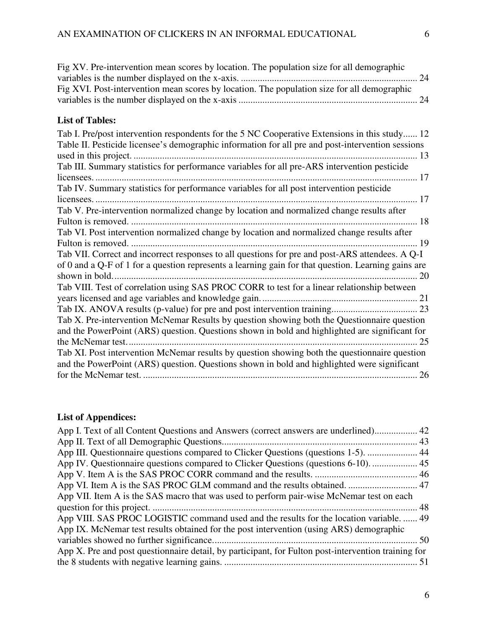| Fig XV. Pre-intervention mean scores by location. The population size for all demographic           |
|-----------------------------------------------------------------------------------------------------|
|                                                                                                     |
| Fig XVI. Post-intervention mean scores by location. The population size for all demographic         |
|                                                                                                     |
|                                                                                                     |
| <b>List of Tables:</b>                                                                              |
| Tab I. Pre/post intervention respondents for the 5 NC Cooperative Extensions in this study 12       |
| Table II. Pesticide licensee's demographic information for all pre and post-intervention sessions   |
|                                                                                                     |
| Tab III. Summary statistics for performance variables for all pre-ARS intervention pesticide        |
|                                                                                                     |
| Tab IV. Summary statistics for performance variables for all post intervention pesticide            |
|                                                                                                     |
| Tab V. Pre-intervention normalized change by location and normalized change results after           |
|                                                                                                     |
| Tab VI. Post intervention normalized change by location and normalized change results after         |
|                                                                                                     |
| Tab VII. Correct and incorrect responses to all questions for pre and post-ARS attendees. A Q-I     |
| of 0 and a Q-F of 1 for a question represents a learning gain for that question. Learning gains are |
|                                                                                                     |
| Tab VIII. Test of correlation using SAS PROC CORR to test for a linear relationship between         |
|                                                                                                     |
|                                                                                                     |
| Tab X. Pre-intervention McNemar Results by question showing both the Questionnaire question         |
| and the PowerPoint (ARS) question. Questions shown in bold and highlighted are significant for      |
|                                                                                                     |
| Tab XI. Post intervention McNemar results by question showing both the questionnaire question       |
| and the PowerPoint (ARS) question. Questions shown in bold and highlighted were significant         |
|                                                                                                     |

# **List of Appendices:**

| App I. Text of all Content Questions and Answers (correct answers are underlined) 42                |  |
|-----------------------------------------------------------------------------------------------------|--|
|                                                                                                     |  |
| App III. Questionnaire questions compared to Clicker Questions (questions 1-5).  44                 |  |
| App IV. Questionnaire questions compared to Clicker Questions (questions 6-10).  45                 |  |
|                                                                                                     |  |
|                                                                                                     |  |
| App VII. Item A is the SAS macro that was used to perform pair-wise McNemar test on each            |  |
|                                                                                                     |  |
| App VIII. SAS PROC LOGISTIC command used and the results for the location variable.  49             |  |
| App IX. McNemar test results obtained for the post intervention (using ARS) demographic             |  |
|                                                                                                     |  |
| App X. Pre and post questionnaire detail, by participant, for Fulton post-intervention training for |  |
|                                                                                                     |  |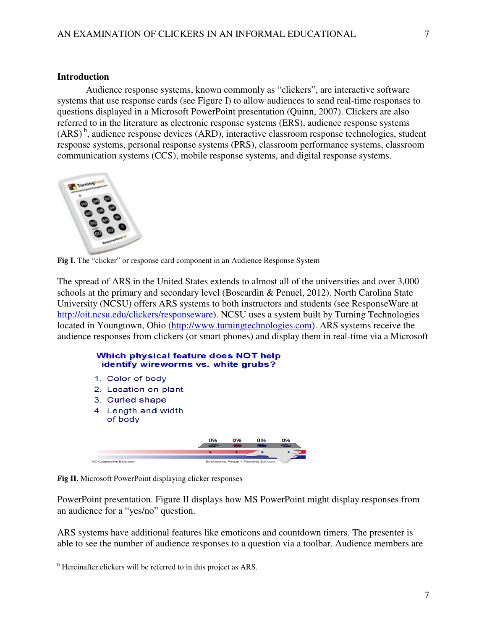Audience response systems, known commonly as "clickers", are interactive software systems that use response cards (see Figure I) to allow audiences to send real-time responses to questions displayed in a Microsoft PowerPoint presentation (Quinn, 2007). Clickers are also referred to in the literature as electronic response systems (ERS), audience response systems  $(ARS)^b$ , audience response devices  $(ARD)$ , interactive classroom response technologies, student response systems, personal response systems (PRS), classroom performance systems, classroom communication systems (CCS), mobile response systems, and digital response systems.



**Fig I.** The "clicker" or response card component in an Audience Response System

The spread of ARS in the United States extends to almost all of the universities and over 3,000 schools at the primary and secondary level (Boscardin & Penuel, 2012). North Carolina State University (NCSU) offers ARS systems to both instructors and students (see ResponseWare at http://oit.ncsu.edu/clickers/responseware). NCSU uses a system built by Turning Technologies located in Youngtown, Ohio (http://www.turningtechnologies.com). ARS systems receive the audience responses from clickers (or smart phones) and display them in real-time via a Microsoft

### Which physical feature does NOT help identify wireworms vs. white grubs?

- 1. Color of body
- 2. Location on plant
- 3. Curled shape
- 4. Length and width of body



**Fig II.** Microsoft PowerPoint displaying clicker responses

PowerPoint presentation. Figure II displays how MS PowerPoint might display responses from an audience for a "yes/no" question.

ARS systems have additional features like emoticons and countdown timers. The presenter is able to see the number of audience responses to a question via a toolbar. Audience members are

l

<sup>&</sup>lt;sup>b</sup> Hereinafter clickers will be referred to in this project as ARS.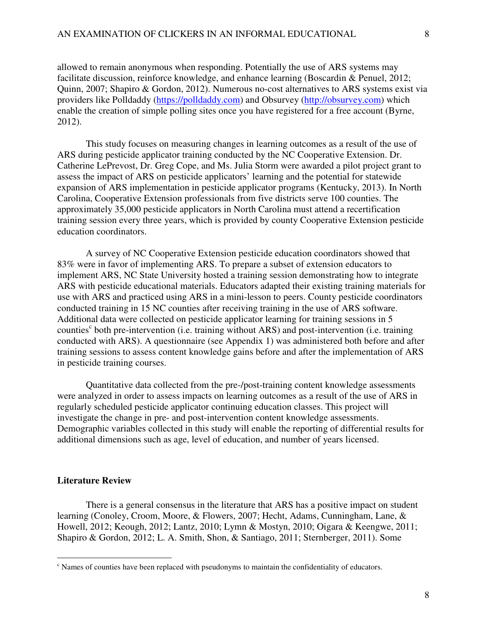allowed to remain anonymous when responding. Potentially the use of ARS systems may facilitate discussion, reinforce knowledge, and enhance learning (Boscardin & Penuel, 2012; Quinn, 2007; Shapiro & Gordon, 2012). Numerous no-cost alternatives to ARS systems exist via providers like Polldaddy (https://polldaddy.com) and Obsurvey (http://obsurvey.com) which enable the creation of simple polling sites once you have registered for a free account (Byrne, 2012).

 This study focuses on measuring changes in learning outcomes as a result of the use of ARS during pesticide applicator training conducted by the NC Cooperative Extension. Dr. Catherine LePrevost, Dr. Greg Cope, and Ms. Julia Storm were awarded a pilot project grant to assess the impact of ARS on pesticide applicators' learning and the potential for statewide expansion of ARS implementation in pesticide applicator programs (Kentucky, 2013). In North Carolina, Cooperative Extension professionals from five districts serve 100 counties. The approximately 35,000 pesticide applicators in North Carolina must attend a recertification training session every three years, which is provided by county Cooperative Extension pesticide education coordinators.

 A survey of NC Cooperative Extension pesticide education coordinators showed that 83% were in favor of implementing ARS. To prepare a subset of extension educators to implement ARS, NC State University hosted a training session demonstrating how to integrate ARS with pesticide educational materials. Educators adapted their existing training materials for use with ARS and practiced using ARS in a mini-lesson to peers. County pesticide coordinators conducted training in 15 NC counties after receiving training in the use of ARS software. Additional data were collected on pesticide applicator learning for training sessions in 5 counties<sup>c</sup> both pre-intervention (i.e. training without ARS) and post-intervention (i.e. training conducted with ARS). A questionnaire (see Appendix 1) was administered both before and after training sessions to assess content knowledge gains before and after the implementation of ARS in pesticide training courses.

 Quantitative data collected from the pre-/post-training content knowledge assessments were analyzed in order to assess impacts on learning outcomes as a result of the use of ARS in regularly scheduled pesticide applicator continuing education classes. This project will investigate the change in pre- and post-intervention content knowledge assessments. Demographic variables collected in this study will enable the reporting of differential results for additional dimensions such as age, level of education, and number of years licensed.

#### **Literature Review**

l

 There is a general consensus in the literature that ARS has a positive impact on student learning (Conoley, Croom, Moore, & Flowers, 2007; Hecht, Adams, Cunningham, Lane, & Howell, 2012; Keough, 2012; Lantz, 2010; Lymn & Mostyn, 2010; Oigara & Keengwe, 2011; Shapiro & Gordon, 2012; L. A. Smith, Shon, & Santiago, 2011; Sternberger, 2011). Some

<sup>&</sup>lt;sup>c</sup> Names of counties have been replaced with pseudonyms to maintain the confidentiality of educators.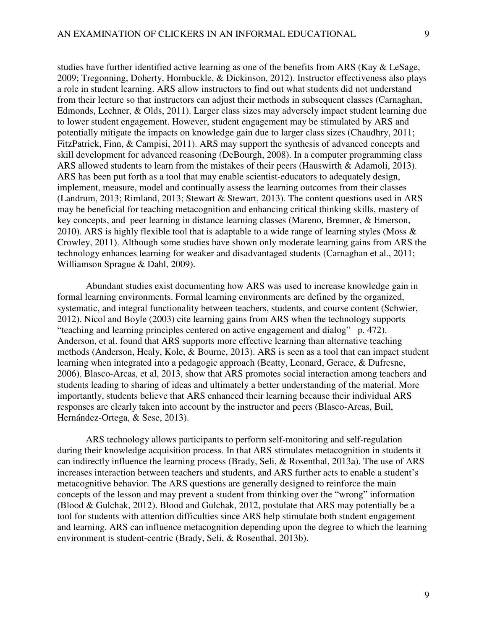studies have further identified active learning as one of the benefits from ARS (Kay & LeSage, 2009; Tregonning, Doherty, Hornbuckle, & Dickinson, 2012). Instructor effectiveness also plays a role in student learning. ARS allow instructors to find out what students did not understand from their lecture so that instructors can adjust their methods in subsequent classes (Carnaghan, Edmonds, Lechner, & Olds, 2011). Larger class sizes may adversely impact student learning due to lower student engagement. However, student engagement may be stimulated by ARS and potentially mitigate the impacts on knowledge gain due to larger class sizes (Chaudhry, 2011; FitzPatrick, Finn, & Campisi, 2011). ARS may support the synthesis of advanced concepts and skill development for advanced reasoning (DeBourgh, 2008). In a computer programming class ARS allowed students to learn from the mistakes of their peers (Hauswirth & Adamoli, 2013). ARS has been put forth as a tool that may enable scientist-educators to adequately design, implement, measure, model and continually assess the learning outcomes from their classes (Landrum, 2013; Rimland, 2013; Stewart & Stewart, 2013). The content questions used in ARS may be beneficial for teaching metacognition and enhancing critical thinking skills, mastery of key concepts, and peer learning in distance learning classes (Mareno, Bremner, & Emerson, 2010). ARS is highly flexible tool that is adaptable to a wide range of learning styles (Moss  $\&$ Crowley, 2011). Although some studies have shown only moderate learning gains from ARS the technology enhances learning for weaker and disadvantaged students (Carnaghan et al., 2011; Williamson Sprague & Dahl, 2009).

 Abundant studies exist documenting how ARS was used to increase knowledge gain in formal learning environments. Formal learning environments are defined by the organized, systematic, and integral functionality between teachers, students, and course content (Schwier, 2012). Nicol and Boyle (2003) cite learning gains from ARS when the technology supports "teaching and learning principles centered on active engagement and dialog" p. 472). Anderson, et al. found that ARS supports more effective learning than alternative teaching methods (Anderson, Healy, Kole, & Bourne, 2013). ARS is seen as a tool that can impact student learning when integrated into a pedagogic approach (Beatty, Leonard, Gerace, & Dufresne, 2006). Blasco-Arcas, et al, 2013, show that ARS promotes social interaction among teachers and students leading to sharing of ideas and ultimately a better understanding of the material. More importantly, students believe that ARS enhanced their learning because their individual ARS responses are clearly taken into account by the instructor and peers (Blasco-Arcas, Buil, Hernández-Ortega, & Sese, 2013).

 ARS technology allows participants to perform self-monitoring and self-regulation during their knowledge acquisition process. In that ARS stimulates metacognition in students it can indirectly influence the learning process (Brady, Seli, & Rosenthal, 2013a). The use of ARS increases interaction between teachers and students, and ARS further acts to enable a student's metacognitive behavior. The ARS questions are generally designed to reinforce the main concepts of the lesson and may prevent a student from thinking over the "wrong" information (Blood & Gulchak, 2012). Blood and Gulchak, 2012, postulate that ARS may potentially be a tool for students with attention difficulties since ARS help stimulate both student engagement and learning. ARS can influence metacognition depending upon the degree to which the learning environment is student-centric (Brady, Seli, & Rosenthal, 2013b).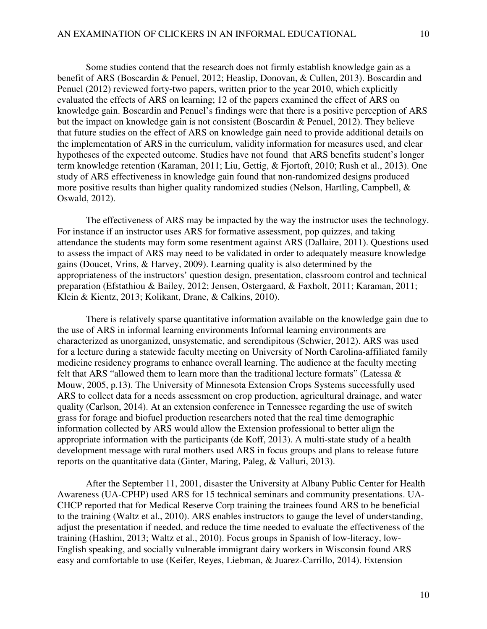Some studies contend that the research does not firmly establish knowledge gain as a benefit of ARS (Boscardin & Penuel, 2012; Heaslip, Donovan, & Cullen, 2013). Boscardin and Penuel (2012) reviewed forty-two papers, written prior to the year 2010, which explicitly evaluated the effects of ARS on learning; 12 of the papers examined the effect of ARS on knowledge gain. Boscardin and Penuel's findings were that there is a positive perception of ARS but the impact on knowledge gain is not consistent (Boscardin & Penuel, 2012). They believe that future studies on the effect of ARS on knowledge gain need to provide additional details on the implementation of ARS in the curriculum, validity information for measures used, and clear hypotheses of the expected outcome. Studies have not found that ARS benefits student's longer term knowledge retention (Karaman, 2011; Liu, Gettig, & Fjortoft, 2010; Rush et al., 2013). One study of ARS effectiveness in knowledge gain found that non-randomized designs produced more positive results than higher quality randomized studies (Nelson, Hartling, Campbell, & Oswald, 2012).

 The effectiveness of ARS may be impacted by the way the instructor uses the technology. For instance if an instructor uses ARS for formative assessment, pop quizzes, and taking attendance the students may form some resentment against ARS (Dallaire, 2011). Questions used to assess the impact of ARS may need to be validated in order to adequately measure knowledge gains (Doucet, Vrins, & Harvey, 2009). Learning quality is also determined by the appropriateness of the instructors' question design, presentation, classroom control and technical preparation (Efstathiou & Bailey, 2012; Jensen, Ostergaard, & Faxholt, 2011; Karaman, 2011; Klein & Kientz, 2013; Kolikant, Drane, & Calkins, 2010).

 There is relatively sparse quantitative information available on the knowledge gain due to the use of ARS in informal learning environments Informal learning environments are characterized as unorganized, unsystematic, and serendipitous (Schwier, 2012). ARS was used for a lecture during a statewide faculty meeting on University of North Carolina-affiliated family medicine residency programs to enhance overall learning. The audience at the faculty meeting felt that ARS "allowed them to learn more than the traditional lecture formats" (Latessa & Mouw, 2005, p.13). The University of Minnesota Extension Crops Systems successfully used ARS to collect data for a needs assessment on crop production, agricultural drainage, and water quality (Carlson, 2014). At an extension conference in Tennessee regarding the use of switch grass for forage and biofuel production researchers noted that the real time demographic information collected by ARS would allow the Extension professional to better align the appropriate information with the participants (de Koff, 2013). A multi-state study of a health development message with rural mothers used ARS in focus groups and plans to release future reports on the quantitative data (Ginter, Maring, Paleg, & Valluri, 2013).

 After the September 11, 2001, disaster the University at Albany Public Center for Health Awareness (UA-CPHP) used ARS for 15 technical seminars and community presentations. UA-CHCP reported that for Medical Reserve Corp training the trainees found ARS to be beneficial to the training (Waltz et al., 2010). ARS enables instructors to gauge the level of understanding, adjust the presentation if needed, and reduce the time needed to evaluate the effectiveness of the training (Hashim, 2013; Waltz et al., 2010). Focus groups in Spanish of low-literacy, low-English speaking, and socially vulnerable immigrant dairy workers in Wisconsin found ARS easy and comfortable to use (Keifer, Reyes, Liebman, & Juarez-Carrillo, 2014). Extension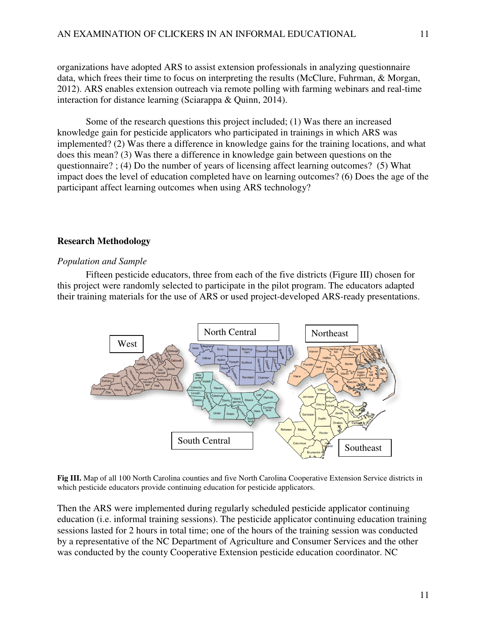organizations have adopted ARS to assist extension professionals in analyzing questionnaire data, which frees their time to focus on interpreting the results (McClure, Fuhrman, & Morgan, 2012). ARS enables extension outreach via remote polling with farming webinars and real-time interaction for distance learning (Sciarappa & Quinn, 2014).

 Some of the research questions this project included; (1) Was there an increased knowledge gain for pesticide applicators who participated in trainings in which ARS was implemented? (2) Was there a difference in knowledge gains for the training locations, and what does this mean? (3) Was there a difference in knowledge gain between questions on the questionnaire? ; (4) Do the number of years of licensing affect learning outcomes? (5) What impact does the level of education completed have on learning outcomes? (6) Does the age of the participant affect learning outcomes when using ARS technology?

#### **Research Methodology**

#### *Population and Sample*

 Fifteen pesticide educators, three from each of the five districts (Figure III) chosen for this project were randomly selected to participate in the pilot program. The educators adapted their training materials for the use of ARS or used project-developed ARS-ready presentations.



**Fig III.** Map of all 100 North Carolina counties and five North Carolina Cooperative Extension Service districts in which pesticide educators provide continuing education for pesticide applicators.

Then the ARS were implemented during regularly scheduled pesticide applicator continuing education (i.e. informal training sessions). The pesticide applicator continuing education training sessions lasted for 2 hours in total time; one of the hours of the training session was conducted by a representative of the NC Department of Agriculture and Consumer Services and the other was conducted by the county Cooperative Extension pesticide education coordinator. NC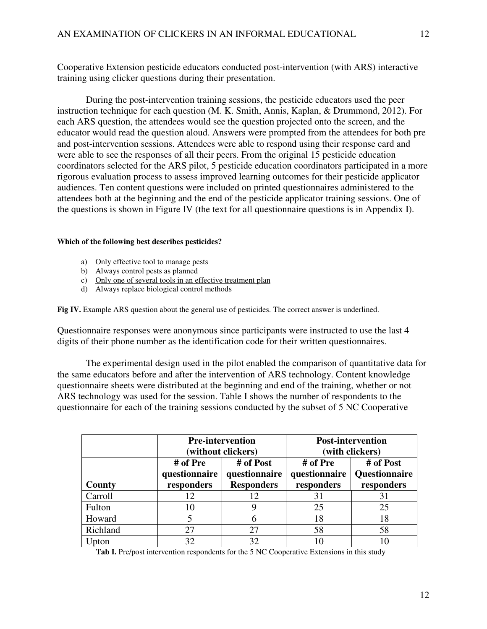Cooperative Extension pesticide educators conducted post-intervention (with ARS) interactive training using clicker questions during their presentation.

 During the post-intervention training sessions, the pesticide educators used the peer instruction technique for each question (M. K. Smith, Annis, Kaplan, & Drummond, 2012). For each ARS question, the attendees would see the question projected onto the screen, and the educator would read the question aloud. Answers were prompted from the attendees for both pre and post-intervention sessions. Attendees were able to respond using their response card and were able to see the responses of all their peers. From the original 15 pesticide education coordinators selected for the ARS pilot, 5 pesticide education coordinators participated in a more rigorous evaluation process to assess improved learning outcomes for their pesticide applicator audiences. Ten content questions were included on printed questionnaires administered to the attendees both at the beginning and the end of the pesticide applicator training sessions. One of the questions is shown in Figure IV (the text for all questionnaire questions is in Appendix I).

#### **Which of the following best describes pesticides?**

- a) Only effective tool to manage pests
- b) Always control pests as planned
- c) Only one of several tools in an effective treatment plan
- d) Always replace biological control methods

Fig IV. Example ARS question about the general use of pesticides. The correct answer is underlined.

Questionnaire responses were anonymous since participants were instructed to use the last 4 digits of their phone number as the identification code for their written questionnaires.

 The experimental design used in the pilot enabled the comparison of quantitative data for the same educators before and after the intervention of ARS technology. Content knowledge questionnaire sheets were distributed at the beginning and end of the training, whether or not ARS technology was used for the session. Table I shows the number of respondents to the questionnaire for each of the training sessions conducted by the subset of 5 NC Cooperative

|          | <b>Pre-intervention</b>                 | (without clickers)                              | <b>Post-intervention</b><br>(with clickers) |                                          |  |  |
|----------|-----------------------------------------|-------------------------------------------------|---------------------------------------------|------------------------------------------|--|--|
| County   | # of Pre<br>questionnaire<br>responders | # of Post<br>questionnaire<br><b>Responders</b> | # of Pre<br>questionnaire<br>responders     | # of Post<br>Questionnaire<br>responders |  |  |
| Carroll  | 12                                      | 12                                              | 31                                          | 31                                       |  |  |
| Fulton   | 10                                      |                                                 | 25                                          | 25                                       |  |  |
| Howard   |                                         | 6                                               | 18                                          | 18                                       |  |  |
| Richland | 27                                      | 27                                              | 58                                          | 58                                       |  |  |
| Upton    | 32                                      | 32                                              | 10                                          |                                          |  |  |

**Tab I.** Pre/post intervention respondents for the 5 NC Cooperative Extensions in this study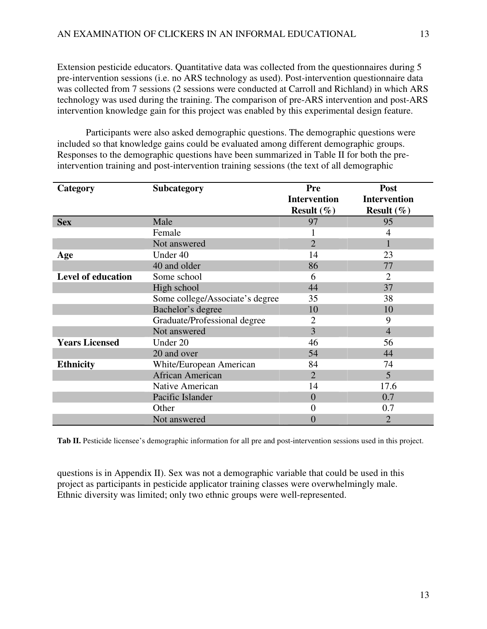Extension pesticide educators. Quantitative data was collected from the questionnaires during 5 pre-intervention sessions (i.e. no ARS technology as used). Post-intervention questionnaire data was collected from 7 sessions (2 sessions were conducted at Carroll and Richland) in which ARS technology was used during the training. The comparison of pre-ARS intervention and post-ARS intervention knowledge gain for this project was enabled by this experimental design feature.

 Participants were also asked demographic questions. The demographic questions were included so that knowledge gains could be evaluated among different demographic groups. Responses to the demographic questions have been summarized in Table II for both the preintervention training and post-intervention training sessions (the text of all demographic

| Category                  | <b>Subcategory</b>              | Pre                  | Post                 |
|---------------------------|---------------------------------|----------------------|----------------------|
|                           |                                 | <b>Intervention</b>  | <b>Intervention</b>  |
|                           |                                 | <b>Result</b> $(\%)$ | <b>Result</b> $(\%)$ |
| <b>Sex</b>                | Male                            | 97                   | 95                   |
|                           | Female                          |                      | 4                    |
|                           | Not answered                    | $\overline{2}$       |                      |
| Age                       | Under 40                        | 14                   | 23                   |
|                           | 40 and older                    | 86                   | 77                   |
| <b>Level of education</b> | Some school                     | 6                    | 2                    |
|                           | High school                     | 44                   | 37                   |
|                           | Some college/Associate's degree | 35                   | 38                   |
|                           | Bachelor's degree               | 10                   | 10                   |
|                           | Graduate/Professional degree    | 2                    | 9                    |
|                           | Not answered                    | 3                    | $\overline{4}$       |
| <b>Years Licensed</b>     | Under 20                        | 46                   | 56                   |
|                           | 20 and over                     | 54                   | 44                   |
| <b>Ethnicity</b>          | White/European American         | 84                   | 74                   |
|                           | African American                | $\overline{2}$       | 5                    |
|                           | Native American                 | 14                   | 17.6                 |
|                           | Pacific Islander                | $\Omega$             | 0.7                  |
|                           | Other                           | 0                    | 0.7                  |
|                           | Not answered                    | 0                    | 2                    |

Tab II. Pesticide licensee's demographic information for all pre and post-intervention sessions used in this project.

questions is in Appendix II). Sex was not a demographic variable that could be used in this project as participants in pesticide applicator training classes were overwhelmingly male. Ethnic diversity was limited; only two ethnic groups were well-represented.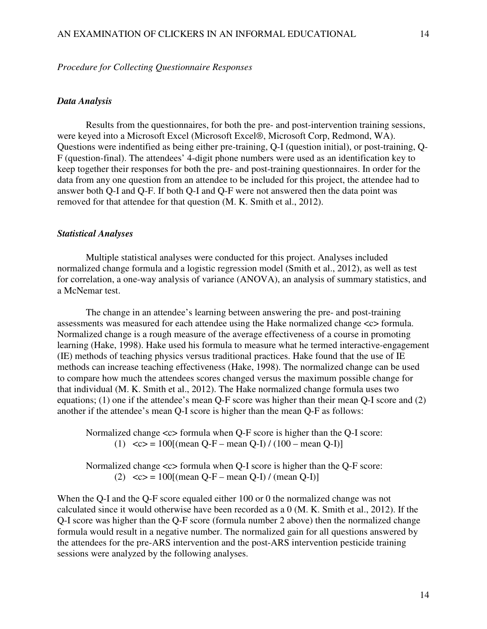#### *Procedure for Collecting Questionnaire Responses*

#### *Data Analysis*

 Results from the questionnaires, for both the pre- and post-intervention training sessions, were keyed into a Microsoft Excel (Microsoft Excel®, Microsoft Corp, Redmond, WA). Questions were indentified as being either pre-training, Q-I (question initial), or post-training, Q-F (question-final). The attendees' 4-digit phone numbers were used as an identification key to keep together their responses for both the pre- and post-training questionnaires. In order for the data from any one question from an attendee to be included for this project, the attendee had to answer both Q-I and Q-F. If both Q-I and Q-F were not answered then the data point was removed for that attendee for that question (M. K. Smith et al., 2012).

#### *Statistical Analyses*

 Multiple statistical analyses were conducted for this project. Analyses included normalized change formula and a logistic regression model (Smith et al., 2012), as well as test for correlation, a one-way analysis of variance (ANOVA), an analysis of summary statistics, and a McNemar test.

 The change in an attendee's learning between answering the pre- and post-training assessments was measured for each attendee using the Hake normalized change <c> formula. Normalized change is a rough measure of the average effectiveness of a course in promoting learning (Hake, 1998). Hake used his formula to measure what he termed interactive-engagement (IE) methods of teaching physics versus traditional practices. Hake found that the use of IE methods can increase teaching effectiveness (Hake, 1998). The normalized change can be used to compare how much the attendees scores changed versus the maximum possible change for that individual (M. K. Smith et al., 2012). The Hake normalized change formula uses two equations; (1) one if the attendee's mean Q-F score was higher than their mean Q-I score and (2) another if the attendee's mean Q-I score is higher than the mean Q-F as follows:

Normalized change  $\ll$  formula when Q-F score is higher than the Q-I score: (1)  $\langle c \rangle = 100$ [(mean Q-F – mean Q-I) / (100 – mean Q-I)]

Normalized change  $\langle c \rangle$  formula when Q-I score is higher than the Q-F score: (2)  $\langle c \rangle = 100$ [(mean Q-F – mean Q-I) / (mean Q-I)]

When the O-I and the O-F score equaled either 100 or 0 the normalized change was not calculated since it would otherwise have been recorded as a 0 (M. K. Smith et al., 2012). If the Q-I score was higher than the Q-F score (formula number 2 above) then the normalized change formula would result in a negative number. The normalized gain for all questions answered by the attendees for the pre-ARS intervention and the post-ARS intervention pesticide training sessions were analyzed by the following analyses.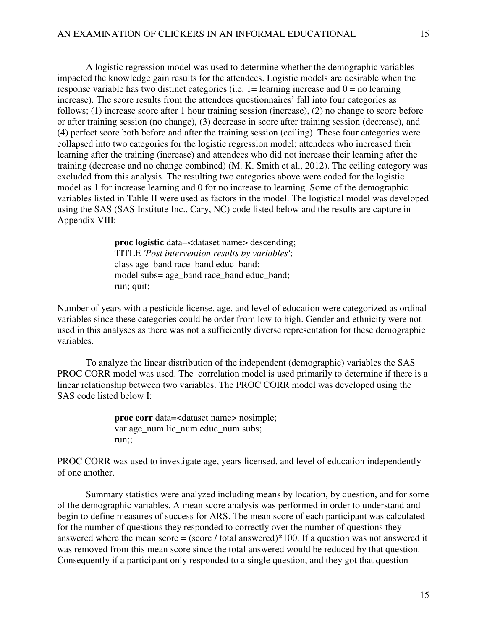A logistic regression model was used to determine whether the demographic variables impacted the knowledge gain results for the attendees. Logistic models are desirable when the response variable has two distinct categories (i.e.  $1 =$  learning increase and  $0 =$  no learning increase). The score results from the attendees questionnaires' fall into four categories as follows; (1) increase score after 1 hour training session (increase), (2) no change to score before or after training session (no change), (3) decrease in score after training session (decrease), and (4) perfect score both before and after the training session (ceiling). These four categories were collapsed into two categories for the logistic regression model; attendees who increased their learning after the training (increase) and attendees who did not increase their learning after the training (decrease and no change combined) (M. K. Smith et al., 2012). The ceiling category was excluded from this analysis. The resulting two categories above were coded for the logistic model as 1 for increase learning and 0 for no increase to learning. Some of the demographic variables listed in Table II were used as factors in the model. The logistical model was developed using the SAS (SAS Institute Inc., Cary, NC) code listed below and the results are capture in Appendix VIII:

> **proc logistic** data=<dataset name> descending; TITLE *'Post intervention results by variables'*; class age\_band race\_band educ\_band; model subs= age\_band race\_band educ\_band; run; quit;

Number of years with a pesticide license, age, and level of education were categorized as ordinal variables since these categories could be order from low to high. Gender and ethnicity were not used in this analyses as there was not a sufficiently diverse representation for these demographic variables.

To analyze the linear distribution of the independent (demographic) variables the SAS PROC CORR model was used. The correlation model is used primarily to determine if there is a linear relationship between two variables. The PROC CORR model was developed using the SAS code listed below I:

> **proc corr** data=<dataset name> nosimple; var age\_num lic\_num educ\_num subs; run;;

PROC CORR was used to investigate age, years licensed, and level of education independently of one another.

 Summary statistics were analyzed including means by location, by question, and for some of the demographic variables. A mean score analysis was performed in order to understand and begin to define measures of success for ARS. The mean score of each participant was calculated for the number of questions they responded to correctly over the number of questions they answered where the mean score = (score / total answered)\*100. If a question was not answered it was removed from this mean score since the total answered would be reduced by that question. Consequently if a participant only responded to a single question, and they got that question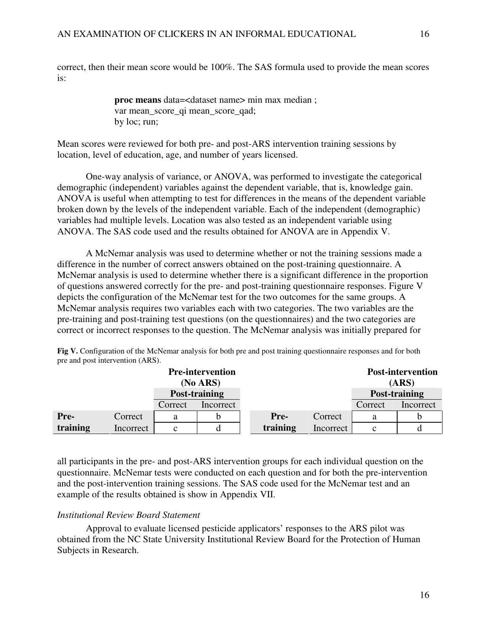correct, then their mean score would be 100%. The SAS formula used to provide the mean scores is:

> **proc means** data=<dataset name> min max median ; var mean\_score\_qi mean\_score\_qad; by loc; run;

Mean scores were reviewed for both pre- and post-ARS intervention training sessions by location, level of education, age, and number of years licensed.

 One-way analysis of variance, or ANOVA, was performed to investigate the categorical demographic (independent) variables against the dependent variable, that is, knowledge gain. ANOVA is useful when attempting to test for differences in the means of the dependent variable broken down by the levels of the independent variable. Each of the independent (demographic) variables had multiple levels. Location was also tested as an independent variable using ANOVA. The SAS code used and the results obtained for ANOVA are in Appendix V.

 A McNemar analysis was used to determine whether or not the training sessions made a difference in the number of correct answers obtained on the post-training questionnaire. A McNemar analysis is used to determine whether there is a significant difference in the proportion of questions answered correctly for the pre- and post-training questionnaire responses. Figure V depicts the configuration of the McNemar test for the two outcomes for the same groups. A McNemar analysis requires two variables each with two categories. The two variables are the pre-training and post-training test questions (on the questionnaires) and the two categories are correct or incorrect responses to the question. The McNemar analysis was initially prepared for

| <b>Pre-intervention</b><br>(No ARS) |           |         |           |               |           | <b>Post-intervention</b><br>(ARS) |           |
|-------------------------------------|-----------|---------|-----------|---------------|-----------|-----------------------------------|-----------|
| Post-training                       |           |         |           | Post-training |           |                                   |           |
|                                     |           | Correct | Incorrect |               |           | Correct                           | Incorrect |
| Pre-                                | Correct   | а       |           | Pre-          | Correct   | a                                 |           |
| training                            | Incorrect | с       |           | training      | Incorrect | $\mathbf c$                       |           |

**Fig V.** Configuration of the McNemar analysis for both pre and post training questionnaire responses and for both pre and post intervention (ARS).

all participants in the pre- and post-ARS intervention groups for each individual question on the questionnaire. McNemar tests were conducted on each question and for both the pre-intervention and the post-intervention training sessions. The SAS code used for the McNemar test and an example of the results obtained is show in Appendix VII.

### *Institutional Review Board Statement*

 Approval to evaluate licensed pesticide applicators' responses to the ARS pilot was obtained from the NC State University Institutional Review Board for the Protection of Human Subjects in Research.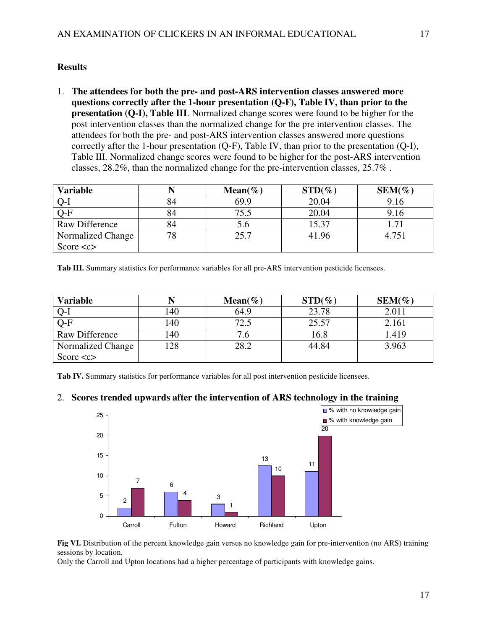### **Results**

1. **The attendees for both the pre- and post-ARS intervention classes answered more questions correctly after the 1-hour presentation (Q-F), Table IV, than prior to the presentation (Q-I), Table III**. Normalized change scores were found to be higher for the post intervention classes than the normalized change for the pre intervention classes. The attendees for both the pre- and post-ARS intervention classes answered more questions correctly after the 1-hour presentation (Q-F), Table IV, than prior to the presentation (Q-I), Table III. Normalized change scores were found to be higher for the post-ARS intervention classes, 28.2%, than the normalized change for the pre-intervention classes, 25.7% .

| <b>Variable</b>           |    | Mean( $\%$ ) | $STD(\%)$ | $SEM(\%)$ |
|---------------------------|----|--------------|-----------|-----------|
| $Q-I$                     | 84 | 69.9         | 20.04     | 9.16      |
| $\overline{\text{O-F}}$   | 84 | 75.5         | 20.04     | 9.16      |
| Raw Difference            | 84 | D.O          | 15.37     | 71        |
| Normalized Change         | 78 | 25.7         | 41.96     | 4.751     |
| Score $\langle c \rangle$ |    |              |           |           |

**Tab III.** Summary statistics for performance variables for all pre-ARS intervention pesticide licensees.

| <b>Variable</b>           |     | Mean( $\%$ ) | $STD(\%)$ | $SEM(\%)$ |
|---------------------------|-----|--------------|-----------|-----------|
| $Q-I$                     | 140 | 64.9         | 23.78     | 2.011     |
| $Q-F$                     | 140 | 72.5         | 25.57     | 2.161     |
| Raw Difference            | 40  |              | 16.8      | 1.419     |
| <b>Normalized Change</b>  | 128 | 28.2         | 44.84     | 3.963     |
| Score $\langle c \rangle$ |     |              |           |           |

**Tab IV.** Summary statistics for performance variables for all post intervention pesticide licensees.

### 2. **Scores trended upwards after the intervention of ARS technology in the training**



**Fig VI.** Distribution of the percent knowledge gain versus no knowledge gain for pre-intervention (no ARS) training sessions by location.

Only the Carroll and Upton locations had a higher percentage of participants with knowledge gains.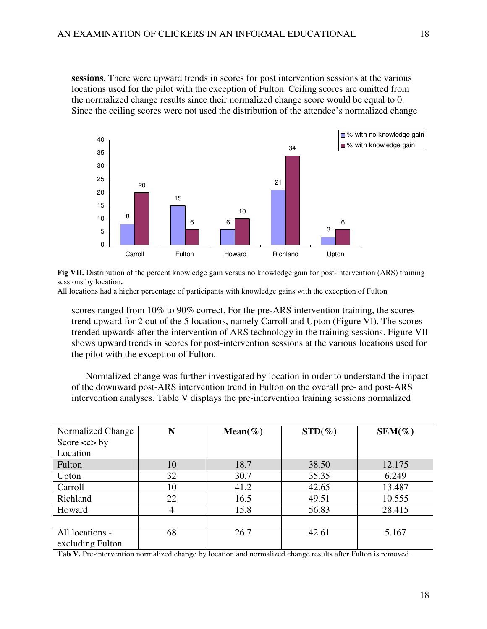**sessions**. There were upward trends in scores for post intervention sessions at the various locations used for the pilot with the exception of Fulton. Ceiling scores are omitted from the normalized change results since their normalized change score would be equal to 0. Since the ceiling scores were not used the distribution of the attendee's normalized change



**Fig VII.** Distribution of the percent knowledge gain versus no knowledge gain for post-intervention (ARS) training sessions by location**.** 

All locations had a higher percentage of participants with knowledge gains with the exception of Fulton

scores ranged from 10% to 90% correct. For the pre-ARS intervention training, the scores trend upward for 2 out of the 5 locations, namely Carroll and Upton (Figure VI). The scores trended upwards after the intervention of ARS technology in the training sessions. Figure VII shows upward trends in scores for post-intervention sessions at the various locations used for the pilot with the exception of Fulton.

 Normalized change was further investigated by location in order to understand the impact of the downward post-ARS intervention trend in Fulton on the overall pre- and post-ARS intervention analyses. Table V displays the pre-intervention training sessions normalized

| Normalized Change            | N  | Mean( $\%$ ) | $STD(\%)$ | $SEM(\%)$ |
|------------------------------|----|--------------|-----------|-----------|
| Score $\langle c \rangle$ by |    |              |           |           |
| Location                     |    |              |           |           |
| Fulton                       | 10 | 18.7         | 38.50     | 12.175    |
| Upton                        | 32 | 30.7         | 35.35     | 6.249     |
| Carroll                      | 10 | 41.2         | 42.65     | 13.487    |
| Richland                     | 22 | 16.5         | 49.51     | 10.555    |
| Howard                       | 4  | 15.8         | 56.83     | 28.415    |
|                              |    |              |           |           |
| All locations -              | 68 | 26.7         | 42.61     | 5.167     |
| excluding Fulton             |    |              |           |           |

Tab V. Pre-intervention normalized change by location and normalized change results after Fulton is removed.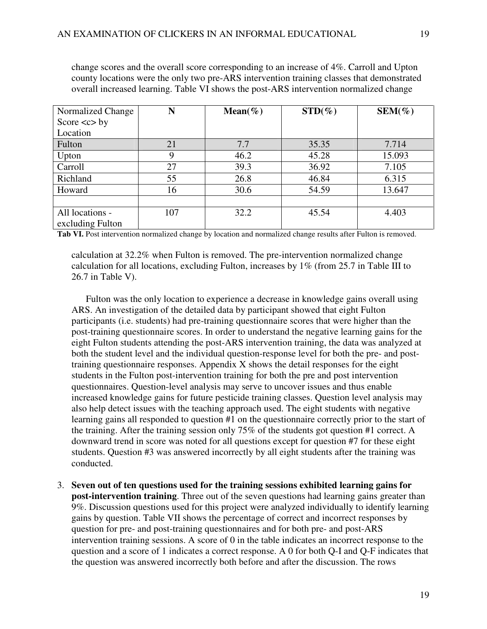change scores and the overall score corresponding to an increase of 4%. Carroll and Upton county locations were the only two pre-ARS intervention training classes that demonstrated overall increased learning. Table VI shows the post-ARS intervention normalized change

| Normalized Change            | N   | Mean( $\%$ ) | $STD(\%)$ | $SEM(\%)$ |
|------------------------------|-----|--------------|-----------|-----------|
| Score $\langle c \rangle$ by |     |              |           |           |
| Location                     |     |              |           |           |
| Fulton                       | 21  | 7.7          | 35.35     | 7.714     |
| Upton                        |     | 46.2         | 45.28     | 15.093    |
| Carroll                      | 27  | 39.3         | 36.92     | 7.105     |
| Richland                     | 55  | 26.8         | 46.84     | 6.315     |
| Howard                       | 16  | 30.6         | 54.59     | 13.647    |
|                              |     |              |           |           |
| All locations -              | 107 | 32.2         | 45.54     | 4.403     |
| excluding Fulton             |     |              |           |           |

**Tab VI.** Post intervention normalized change by location and normalized change results after Fulton is removed.

calculation at 32.2% when Fulton is removed. The pre-intervention normalized change calculation for all locations, excluding Fulton, increases by 1% (from 25.7 in Table III to 26.7 in Table V).

 Fulton was the only location to experience a decrease in knowledge gains overall using ARS. An investigation of the detailed data by participant showed that eight Fulton participants (i.e. students) had pre-training questionnaire scores that were higher than the post-training questionnaire scores. In order to understand the negative learning gains for the eight Fulton students attending the post-ARS intervention training, the data was analyzed at both the student level and the individual question-response level for both the pre- and posttraining questionnaire responses. Appendix  $X$  shows the detail responses for the eight students in the Fulton post-intervention training for both the pre and post intervention questionnaires. Question-level analysis may serve to uncover issues and thus enable increased knowledge gains for future pesticide training classes. Question level analysis may also help detect issues with the teaching approach used. The eight students with negative learning gains all responded to question #1 on the questionnaire correctly prior to the start of the training. After the training session only 75% of the students got question #1 correct. A downward trend in score was noted for all questions except for question #7 for these eight students. Question #3 was answered incorrectly by all eight students after the training was conducted.

3. **Seven out of ten questions used for the training sessions exhibited learning gains for post-intervention training**. Three out of the seven questions had learning gains greater than 9%. Discussion questions used for this project were analyzed individually to identify learning gains by question. Table VII shows the percentage of correct and incorrect responses by question for pre- and post-training questionnaires and for both pre- and post-ARS intervention training sessions. A score of 0 in the table indicates an incorrect response to the question and a score of 1 indicates a correct response. A 0 for both Q-I and Q-F indicates that the question was answered incorrectly both before and after the discussion. The rows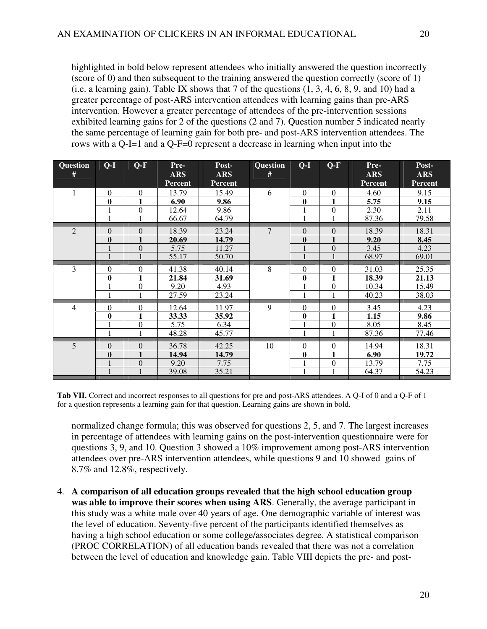highlighted in bold below represent attendees who initially answered the question incorrectly (score of 0) and then subsequent to the training answered the question correctly (score of 1) (i.e. a learning gain). Table IX shows that  $7$  of the questions  $(1, 3, 4, 6, 8, 9, \text{ and } 10)$  had a greater percentage of post-ARS intervention attendees with learning gains than pre-ARS intervention. However a greater percentage of attendees of the pre-intervention sessions exhibited learning gains for 2 of the questions (2 and 7). Question number 5 indicated nearly the same percentage of learning gain for both pre- and post-ARS intervention attendees. The rows with a Q-I=1 and a Q-F=0 represent a decrease in learning when input into the

| <b>Question</b><br># | $Q-I$            | $Q-F$            | Pre-<br>ARS<br><b>Percent</b> | Post-<br><b>ARS</b><br><b>Percent</b> | <b>Question</b><br># | $Q-I$            | $Q-F$          | Pre-<br><b>ARS</b><br><b>Percent</b> | Post-<br><b>ARS</b><br><b>Percent</b> |
|----------------------|------------------|------------------|-------------------------------|---------------------------------------|----------------------|------------------|----------------|--------------------------------------|---------------------------------------|
| 1                    | $\boldsymbol{0}$ | $\boldsymbol{0}$ | 13.79                         | 15.49                                 | 6                    | $\mathbf{0}$     | $\Omega$       | 4.60                                 | 9.15                                  |
|                      | $\mathbf{0}$     | 1                | 6.90                          | 9.86                                  |                      | $\bf{0}$         | $\blacksquare$ | 5.75                                 | 9.15                                  |
|                      |                  | $\boldsymbol{0}$ | 12.64                         | 9.86                                  |                      |                  | $\theta$       | 2.30                                 | 2.11                                  |
|                      | 1                | $\overline{1}$   | 66.67                         | 64.79                                 |                      | 1                |                | 87.36                                | 79.58                                 |
| $\overline{2}$       | $\Omega$         | $\theta$         | 18.39                         | 23.24                                 | $\tau$               | $\Omega$         | $\Omega$       | 18.39                                | 18.31                                 |
|                      | $\bf{0}$         |                  | 20.69                         | 14.79                                 |                      | $\bf{0}$         |                | 9.20                                 | 8.45                                  |
|                      |                  | $\boldsymbol{0}$ | 5.75                          | 11.27                                 |                      |                  | $\Omega$       | 3.45                                 | 4.23                                  |
|                      |                  |                  | 55.17                         | 50.70                                 |                      |                  |                | 68.97                                | 69.01                                 |
| 3                    | $\theta$         | $\theta$         | 41.38                         | 40.14                                 | 8                    | $\mathbf{0}$     | $\theta$       | 31.03                                | 25.35                                 |
|                      | $\boldsymbol{0}$ | 1                | 21.84                         | 31.69                                 |                      | $\bf{0}$         | 1              | 18.39                                | 21.13                                 |
|                      |                  | $\boldsymbol{0}$ | 9.20                          | 4.93                                  |                      |                  | $\theta$       | 10.34                                | 15.49                                 |
|                      | 1                | $\mathbf{1}$     | 27.59                         | 23.24                                 |                      | 1                | $\overline{1}$ | 40.23                                | 38.03                                 |
| $\overline{4}$       | $\overline{0}$   | $\theta$         | 12.64                         | 11.97                                 | 9                    | $\Omega$         | $\theta$       | 3.45                                 | 4.23                                  |
|                      | $\boldsymbol{0}$ | 1                | 33.33                         | 35.92                                 |                      | $\bf{0}$         | 1              | 1.15                                 | 9.86                                  |
|                      |                  | $\boldsymbol{0}$ | 5.75                          | 6.34                                  |                      |                  | $\mathbf{0}$   | 8.05                                 | 8.45                                  |
|                      | $\mathbf{1}$     | $\mathbf{1}$     | 48.28                         | 45.77                                 |                      | 1                | $\overline{1}$ | 87.36                                | 77.46                                 |
| 5                    | $\boldsymbol{0}$ | $\theta$         | 36.78                         | 42.25                                 | 10                   | $\mathbf{0}$     | $\theta$       | 14.94                                | 18.31                                 |
|                      | $\boldsymbol{0}$ | $\mathbf{1}$     | 14.94                         | 14.79                                 |                      | $\boldsymbol{0}$ | 1              | 6.90                                 | 19.72                                 |
|                      |                  | $\boldsymbol{0}$ | 9.20                          | 7.75                                  |                      |                  | $\mathbf{0}$   | 13.79                                | 7.75                                  |
|                      |                  | $\mathbf{1}$     | 39.08                         | 35.21                                 |                      | 1                | $\mathbf{1}$   | 64.37                                | 54.23                                 |

**Tab VII.** Correct and incorrect responses to all questions for pre and post-ARS attendees. A Q-I of 0 and a Q-F of 1 for a question represents a learning gain for that question. Learning gains are shown in bold.

normalized change formula; this was observed for questions 2, 5, and 7. The largest increases in percentage of attendees with learning gains on the post-intervention questionnaire were for questions 3, 9, and 10. Question 3 showed a 10% improvement among post-ARS intervention attendees over pre-ARS intervention attendees, while questions 9 and 10 showed gains of 8.7% and 12.8%, respectively.

4. **A comparison of all education groups revealed that the high school education group was able to improve their scores when using ARS**. Generally, the average participant in this study was a white male over 40 years of age. One demographic variable of interest was the level of education. Seventy-five percent of the participants identified themselves as having a high school education or some college/associates degree. A statistical comparison (PROC CORRELATION) of all education bands revealed that there was not a correlation between the level of education and knowledge gain. Table VIII depicts the pre- and post-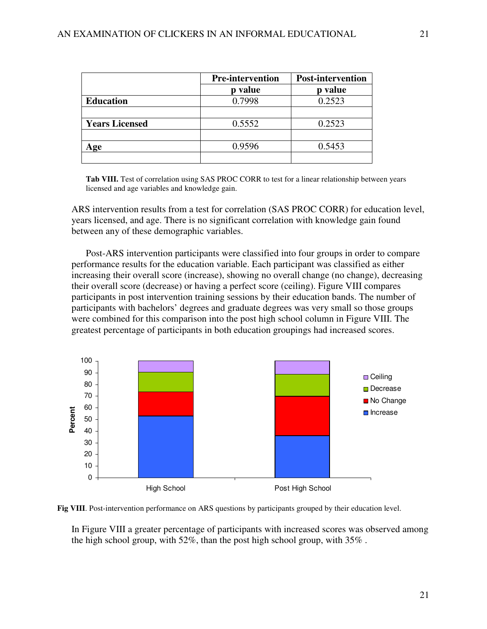|                       | <b>Pre-intervention</b> | <b>Post-intervention</b> |
|-----------------------|-------------------------|--------------------------|
|                       | value                   | value                    |
| <b>Education</b>      | 0.7998                  | 0.2523                   |
|                       |                         |                          |
| <b>Years Licensed</b> | 0.5552                  | 0.2523                   |
|                       |                         |                          |
| ge                    | 0.9596                  | 0.5453                   |
|                       |                         |                          |

Tab VIII. Test of correlation using SAS PROC CORR to test for a linear relationship between years licensed and age variables and knowledge gain.

ARS intervention results from a test for correlation (SAS PROC CORR) for education level, years licensed, and age. There is no significant correlation with knowledge gain found between any of these demographic variables.

 Post-ARS intervention participants were classified into four groups in order to compare performance results for the education variable. Each participant was classified as either increasing their overall score (increase), showing no overall change (no change), decreasing their overall score (decrease) or having a perfect score (ceiling). Figure VIII compares participants in post intervention training sessions by their education bands. The number of participants with bachelors' degrees and graduate degrees was very small so those groups were combined for this comparison into the post high school column in Figure VIII. The greatest percentage of participants in both education groupings had increased scores.





In Figure VIII a greater percentage of participants with increased scores was observed among the high school group, with 52%, than the post high school group, with 35% .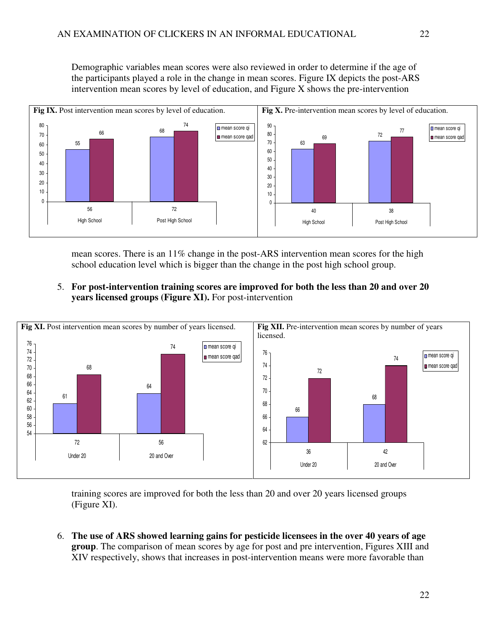Demographic variables mean scores were also reviewed in order to determine if the age of the participants played a role in the change in mean scores. Figure IX depicts the post-ARS intervention mean scores by level of education, and Figure X shows the pre-intervention



mean scores. There is an 11% change in the post-ARS intervention mean scores for the high school education level which is bigger than the change in the post high school group.

5. **For post-intervention training scores are improved for both the less than 20 and over 20 years licensed groups (Figure XI).** For post-intervention



training scores are improved for both the less than 20 and over 20 years licensed groups (Figure XI).

6. **The use of ARS showed learning gains for pesticide licensees in the over 40 years of age group**. The comparison of mean scores by age for post and pre intervention, Figures XIII and XIV respectively, shows that increases in post-intervention means were more favorable than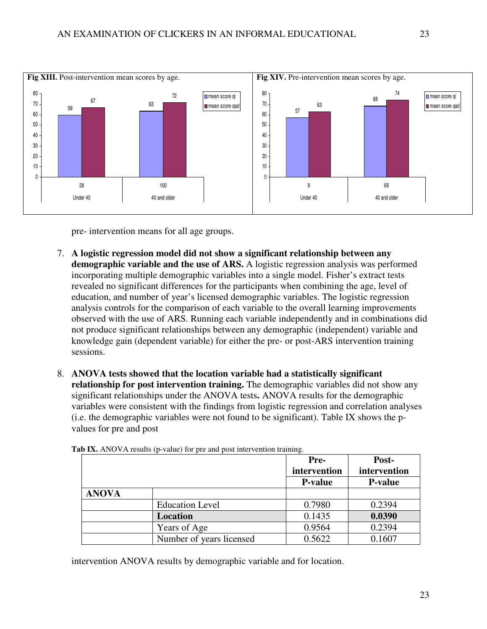

pre- intervention means for all age groups.

- 7. **A logistic regression model did not show a significant relationship between any demographic variable and the use of ARS.** A logistic regression analysis was performed incorporating multiple demographic variables into a single model. Fisher's extract tests revealed no significant differences for the participants when combining the age, level of education, and number of year's licensed demographic variables. The logistic regression analysis controls for the comparison of each variable to the overall learning improvements observed with the use of ARS. Running each variable independently and in combinations did not produce significant relationships between any demographic (independent) variable and knowledge gain (dependent variable) for either the pre- or post-ARS intervention training sessions.
- 8. **ANOVA tests showed that the location variable had a statistically significant relationship for post intervention training.** The demographic variables did not show any significant relationships under the ANOVA tests**.** ANOVA results for the demographic variables were consistent with the findings from logistic regression and correlation analyses (i.e. the demographic variables were not found to be significant). Table IX shows the pvalues for pre and post

|              |                          | Pre-           | Post-          |
|--------------|--------------------------|----------------|----------------|
|              |                          | intervention   | intervention   |
|              |                          | <b>P-value</b> | <b>P-value</b> |
| <b>ANOVA</b> |                          |                |                |
|              | <b>Education Level</b>   | 0.7980         | 0.2394         |
|              | Location                 | 0.1435         | 0.0390         |
|              | Years of Age             | 0.9564         | 0.2394         |
|              | Number of years licensed | 0.5622         | 0.1607         |

Tab IX. ANOVA results (p-value) for pre and post intervention training.

intervention ANOVA results by demographic variable and for location.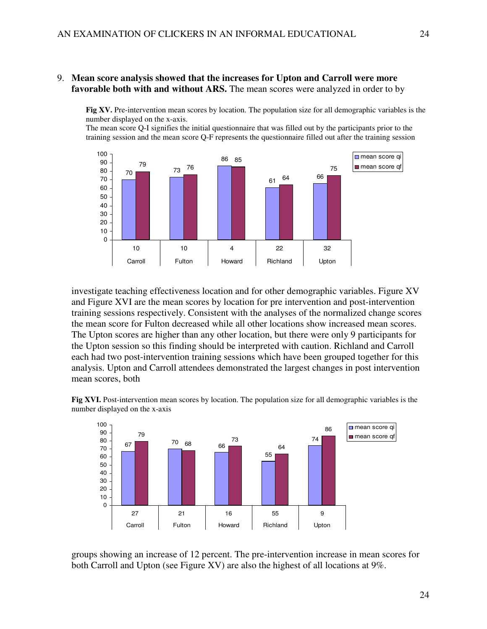#### 9. **Mean score analysis showed that the increases for Upton and Carroll were more favorable both with and without ARS.** The mean scores were analyzed in order to by

**Fig XV.** Pre-intervention mean scores by location. The population size for all demographic variables is the number displayed on the x-axis.

The mean score Q-I signifies the initial questionnaire that was filled out by the participants prior to the training session and the mean score Q-F represents the questionnaire filled out after the training session



investigate teaching effectiveness location and for other demographic variables. Figure XV and Figure XVI are the mean scores by location for pre intervention and post-intervention training sessions respectively. Consistent with the analyses of the normalized change scores the mean score for Fulton decreased while all other locations show increased mean scores. The Upton scores are higher than any other location, but there were only 9 participants for the Upton session so this finding should be interpreted with caution. Richland and Carroll each had two post-intervention training sessions which have been grouped together for this analysis. Upton and Carroll attendees demonstrated the largest changes in post intervention mean scores, both

**Fig XVI.** Post-intervention mean scores by location. The population size for all demographic variables is the number displayed on the x-axis



groups showing an increase of 12 percent. The pre-intervention increase in mean scores for both Carroll and Upton (see Figure XV) are also the highest of all locations at 9%.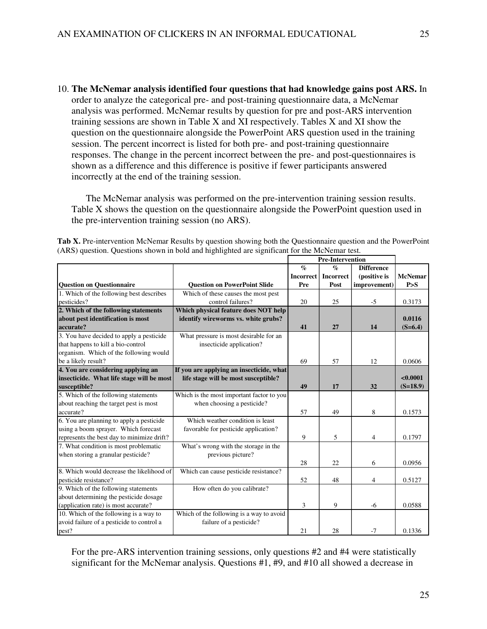10. **The McNemar analysis identified four questions that had knowledge gains post ARS.** In order to analyze the categorical pre- and post-training questionnaire data, a McNemar analysis was performed. McNemar results by question for pre and post-ARS intervention training sessions are shown in Table X and XI respectively. Tables X and XI show the question on the questionnaire alongside the PowerPoint ARS question used in the training session. The percent incorrect is listed for both pre- and post-training questionnaire responses. The change in the percent incorrect between the pre- and post-questionnaires is shown as a difference and this difference is positive if fewer participants answered incorrectly at the end of the training session.

 The McNemar analysis was performed on the pre-intervention training session results. Table X shows the question on the questionnaire alongside the PowerPoint question used in the pre-intervention training session (no ARS).

| Tab X. Pre-intervention McNemar Results by question showing both the Questionnaire question and the PowerPoint |  |
|----------------------------------------------------------------------------------------------------------------|--|
| (ARS) question. Questions shown in bold and highlighted are significant for the McNemar test.                  |  |

|                                            |                                           |                  | Pre-Intervention |                   |                |
|--------------------------------------------|-------------------------------------------|------------------|------------------|-------------------|----------------|
|                                            |                                           | $\%$             | $\mathcal{O}_0$  | <b>Difference</b> |                |
|                                            |                                           | <b>Incorrect</b> | <b>Incorrect</b> | (positive is      | <b>McNemar</b> |
| <b>Question on Questionnaire</b>           | <b>Ouestion on PowerPoint Slide</b>       | Pre              | Post             | improvement)      | P > S          |
| 1. Which of the following best describes   | Which of these causes the most pest       |                  |                  |                   |                |
| pesticides?                                | control failures?                         | 20               | 25               | $-5$              | 0.3173         |
| 2. Which of the following statements       | Which physical feature does NOT help      |                  |                  |                   |                |
| about pest identification is most          | identify wireworms vs. white grubs?       |                  |                  |                   | 0.0116         |
| accurate?                                  |                                           | 41               | 27               | 14                | $(S=6.4)$      |
| 3. You have decided to apply a pesticide   | What pressure is most desirable for an    |                  |                  |                   |                |
| that happens to kill a bio-control         | insecticide application?                  |                  |                  |                   |                |
| organism. Which of the following would     |                                           |                  |                  |                   |                |
| be a likely result?                        |                                           | 69               | 57               | 12                | 0.0606         |
| 4. You are considering applying an         | If you are applying an insecticide, what  |                  |                  |                   |                |
| insecticide. What life stage will be most  | life stage will be most susceptible?      |                  |                  |                   | < 0.0001       |
| susceptible?                               |                                           | 49               | 17               | 32                | $(S=18.9)$     |
| 5. Which of the following statements       | Which is the most important factor to you |                  |                  |                   |                |
| about reaching the target pest is most     | when choosing a pesticide?                |                  |                  |                   |                |
| accurate?                                  |                                           | 57               | 49               | 8                 | 0.1573         |
| 6. You are planning to apply a pesticide   | Which weather condition is least          |                  |                  |                   |                |
| using a boom sprayer. Which forecast       | favorable for pesticide application?      |                  |                  |                   |                |
| represents the best day to minimize drift? |                                           | 9                | 5                | $\overline{4}$    | 0.1797         |
| 7. What condition is most problematic      | What's wrong with the storage in the      |                  |                  |                   |                |
| when storing a granular pesticide?         | previous picture?                         |                  |                  |                   |                |
|                                            |                                           | 28               | 22               | 6                 | 0.0956         |
| 8. Which would decrease the likelihood of  | Which can cause pesticide resistance?     |                  |                  |                   |                |
| pesticide resistance?                      |                                           | 52               | 48               | 4                 | 0.5127         |
| 9. Which of the following statements       | How often do you calibrate?               |                  |                  |                   |                |
| about determining the pesticide dosage     |                                           |                  |                  |                   |                |
| (application rate) is most accurate?       |                                           | 3                | 9                | $-6$              | 0.0588         |
| 10. Which of the following is a way to     | Which of the following is a way to avoid  |                  |                  |                   |                |
| avoid failure of a pesticide to control a  | failure of a pesticide?                   |                  |                  |                   |                |
| pest?                                      |                                           | 21               | 28               | $-7$              | 0.1336         |

For the pre-ARS intervention training sessions, only questions #2 and #4 were statistically significant for the McNemar analysis. Questions #1, #9, and #10 all showed a decrease in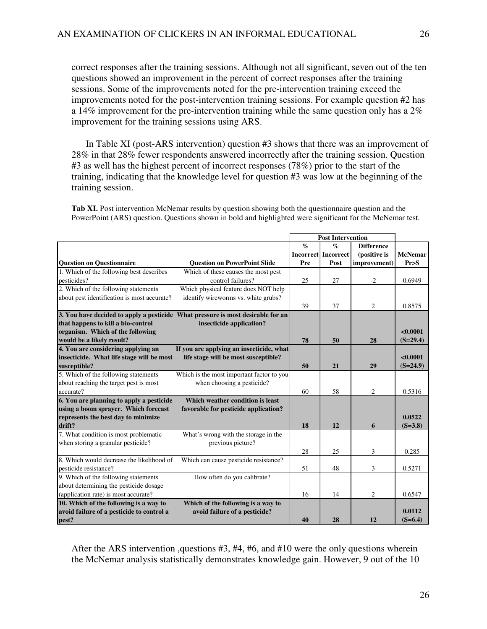correct responses after the training sessions. Although not all significant, seven out of the ten questions showed an improvement in the percent of correct responses after the training sessions. Some of the improvements noted for the pre-intervention training exceed the improvements noted for the post-intervention training sessions. For example question #2 has a 14% improvement for the pre-intervention training while the same question only has a  $2\%$ improvement for the training sessions using ARS.

 In Table XI (post-ARS intervention) question #3 shows that there was an improvement of 28% in that 28% fewer respondents answered incorrectly after the training session. Question #3 as well has the highest percent of incorrect responses (78%) prior to the start of the training, indicating that the knowledge level for question #3 was low at the beginning of the training session.

**Tab XI.** Post intervention McNemar results by question showing both the questionnaire question and the PowerPoint (ARS) question. Questions shown in bold and highlighted were significant for the McNemar test.

|                                             |                                           |                 | <b>Post Intervention</b>   |                   |                |
|---------------------------------------------|-------------------------------------------|-----------------|----------------------------|-------------------|----------------|
|                                             |                                           | $\mathcal{O}_0$ | $\mathcal{O}'$             | <b>Difference</b> |                |
|                                             |                                           |                 | <b>Incorrect Incorrect</b> | (positive is      | <b>McNemar</b> |
| <b>Question on Questionnaire</b>            | <b>Question on PowerPoint Slide</b>       | Pre             | Post                       | improvement)      | Pr > S         |
| 1. Which of the following best describes    | Which of these causes the most pest       |                 |                            |                   |                |
| pesticides?                                 | control failures?                         | 25              | 27                         | $-2$              | 0.6949         |
| 2. Which of the following statements        | Which physical feature does NOT help      |                 |                            |                   |                |
| about pest identification is most accurate? | identify wireworms vs. white grubs?       |                 |                            |                   |                |
|                                             |                                           | 39              | 37                         | $\overline{c}$    | 0.8575         |
| 3. You have decided to apply a pesticide    | What pressure is most desirable for an    |                 |                            |                   |                |
| that happens to kill a bio-control          | insecticide application?                  |                 |                            |                   |                |
| organism. Which of the following            |                                           |                 |                            |                   | < 0.0001       |
| would be a likely result?                   |                                           | 78              | 50                         | 28                | $(S=29.4)$     |
| 4. You are considering applying an          | If you are applying an insecticide, what  |                 |                            |                   |                |
| insecticide. What life stage will be most   | life stage will be most susceptible?      |                 |                            |                   | < 0.0001       |
| susceptible?                                |                                           | 50              | 21                         | 29                | $(S=24.9)$     |
| 5. Which of the following statements        | Which is the most important factor to you |                 |                            |                   |                |
| about reaching the target pest is most      | when choosing a pesticide?                |                 |                            |                   |                |
| accurate?                                   |                                           | 60              | 58                         | 2                 | 0.5316         |
| 6. You are planning to apply a pesticide    | Which weather condition is least          |                 |                            |                   |                |
| using a boom sprayer. Which forecast        | favorable for pesticide application?      |                 |                            |                   |                |
| represents the best day to minimize         |                                           |                 |                            |                   | 0.0522         |
| drift?                                      |                                           | 18              | 12                         | 6                 | $(S=3.8)$      |
| 7. What condition is most problematic       | What's wrong with the storage in the      |                 |                            |                   |                |
| when storing a granular pesticide?          | previous picture?                         |                 |                            |                   |                |
|                                             |                                           | 28              | 25                         | 3                 | 0.285          |
| 8. Which would decrease the likelihood of   | Which can cause pesticide resistance?     |                 |                            |                   |                |
| pesticide resistance?                       |                                           | 51              | 48                         | 3                 | 0.5271         |
| 9. Which of the following statements        | How often do you calibrate?               |                 |                            |                   |                |
| about determining the pesticide dosage      |                                           |                 |                            |                   |                |
| (application rate) is most accurate?        |                                           | 16              | 14                         | $\overline{c}$    | 0.6547         |
| 10. Which of the following is a way to      | Which of the following is a way to        |                 |                            |                   |                |
| avoid failure of a pesticide to control a   | avoid failure of a pesticide?             |                 |                            |                   | 0.0112         |
| pest?                                       |                                           | 40              | 28                         | 12                | $(S=6.4)$      |

After the ARS intervention ,questions #3, #4, #6, and #10 were the only questions wherein the McNemar analysis statistically demonstrates knowledge gain. However, 9 out of the 10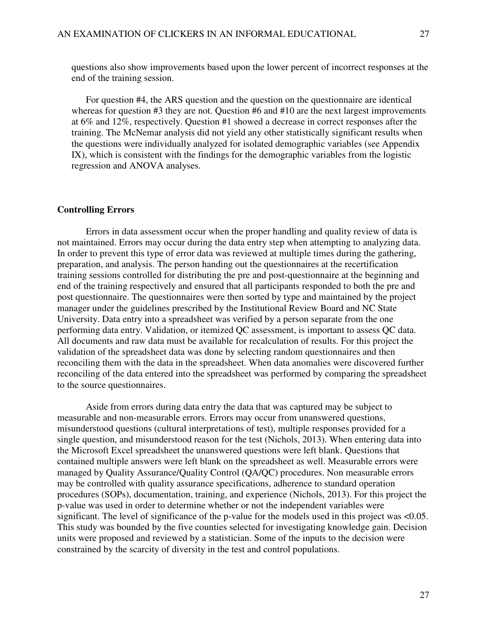questions also show improvements based upon the lower percent of incorrect responses at the end of the training session.

 For question #4, the ARS question and the question on the questionnaire are identical whereas for question #3 they are not. Question #6 and #10 are the next largest improvements at 6% and 12%, respectively. Question #1 showed a decrease in correct responses after the training. The McNemar analysis did not yield any other statistically significant results when the questions were individually analyzed for isolated demographic variables (see Appendix IX), which is consistent with the findings for the demographic variables from the logistic regression and ANOVA analyses.

#### **Controlling Errors**

Errors in data assessment occur when the proper handling and quality review of data is not maintained. Errors may occur during the data entry step when attempting to analyzing data. In order to prevent this type of error data was reviewed at multiple times during the gathering, preparation, and analysis. The person handing out the questionnaires at the recertification training sessions controlled for distributing the pre and post-questionnaire at the beginning and end of the training respectively and ensured that all participants responded to both the pre and post questionnaire. The questionnaires were then sorted by type and maintained by the project manager under the guidelines prescribed by the Institutional Review Board and NC State University. Data entry into a spreadsheet was verified by a person separate from the one performing data entry. Validation, or itemized QC assessment, is important to assess QC data. All documents and raw data must be available for recalculation of results. For this project the validation of the spreadsheet data was done by selecting random questionnaires and then reconciling them with the data in the spreadsheet. When data anomalies were discovered further reconciling of the data entered into the spreadsheet was performed by comparing the spreadsheet to the source questionnaires.

 Aside from errors during data entry the data that was captured may be subject to measurable and non-measurable errors. Errors may occur from unanswered questions, misunderstood questions (cultural interpretations of test), multiple responses provided for a single question, and misunderstood reason for the test (Nichols, 2013). When entering data into the Microsoft Excel spreadsheet the unanswered questions were left blank. Questions that contained multiple answers were left blank on the spreadsheet as well. Measurable errors were managed by Quality Assurance/Quality Control (QA/QC) procedures. Non measurable errors may be controlled with quality assurance specifications, adherence to standard operation procedures (SOPs), documentation, training, and experience (Nichols, 2013). For this project the p-value was used in order to determine whether or not the independent variables were significant. The level of significance of the p-value for the models used in this project was <0.05. This study was bounded by the five counties selected for investigating knowledge gain. Decision units were proposed and reviewed by a statistician. Some of the inputs to the decision were constrained by the scarcity of diversity in the test and control populations.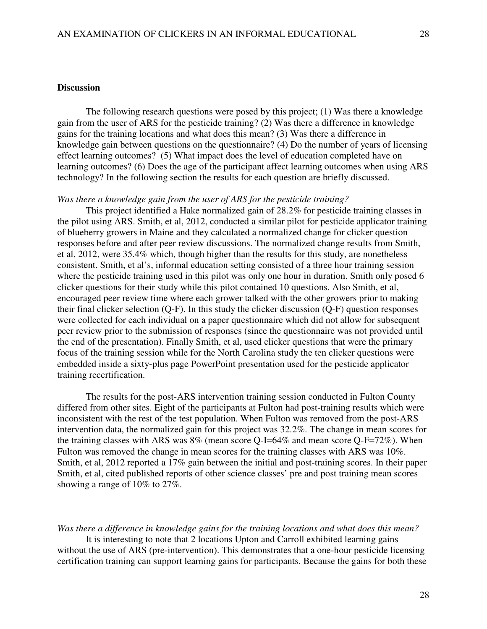### **Discussion**

 The following research questions were posed by this project; (1) Was there a knowledge gain from the user of ARS for the pesticide training? (2) Was there a difference in knowledge gains for the training locations and what does this mean? (3) Was there a difference in knowledge gain between questions on the questionnaire? (4) Do the number of years of licensing effect learning outcomes? (5) What impact does the level of education completed have on learning outcomes? (6) Does the age of the participant affect learning outcomes when using ARS technology? In the following section the results for each question are briefly discussed.

#### *Was there a knowledge gain from the user of ARS for the pesticide training?*

 This project identified a Hake normalized gain of 28.2% for pesticide training classes in the pilot using ARS. Smith, et al, 2012, conducted a similar pilot for pesticide applicator training of blueberry growers in Maine and they calculated a normalized change for clicker question responses before and after peer review discussions. The normalized change results from Smith, et al, 2012, were 35.4% which, though higher than the results for this study, are nonetheless consistent. Smith, et al's, informal education setting consisted of a three hour training session where the pesticide training used in this pilot was only one hour in duration. Smith only posed 6 clicker questions for their study while this pilot contained 10 questions. Also Smith, et al, encouraged peer review time where each grower talked with the other growers prior to making their final clicker selection (Q-F). In this study the clicker discussion (Q-F) question responses were collected for each individual on a paper questionnaire which did not allow for subsequent peer review prior to the submission of responses (since the questionnaire was not provided until the end of the presentation). Finally Smith, et al, used clicker questions that were the primary focus of the training session while for the North Carolina study the ten clicker questions were embedded inside a sixty-plus page PowerPoint presentation used for the pesticide applicator training recertification.

 The results for the post-ARS intervention training session conducted in Fulton County differed from other sites. Eight of the participants at Fulton had post-training results which were inconsistent with the rest of the test population. When Fulton was removed from the post-ARS intervention data, the normalized gain for this project was 32.2%. The change in mean scores for the training classes with ARS was 8% (mean score Q-I=64% and mean score Q-F=72%). When Fulton was removed the change in mean scores for the training classes with ARS was 10%. Smith, et al, 2012 reported a 17% gain between the initial and post-training scores. In their paper Smith, et al, cited published reports of other science classes' pre and post training mean scores showing a range of 10% to 27%.

#### *Was there a difference in knowledge gains for the training locations and what does this mean?*

 It is interesting to note that 2 locations Upton and Carroll exhibited learning gains without the use of ARS (pre-intervention). This demonstrates that a one-hour pesticide licensing certification training can support learning gains for participants. Because the gains for both these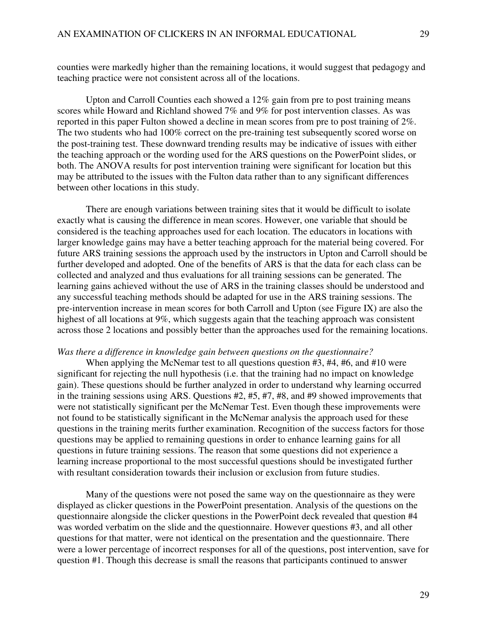counties were markedly higher than the remaining locations, it would suggest that pedagogy and teaching practice were not consistent across all of the locations.

 Upton and Carroll Counties each showed a 12% gain from pre to post training means scores while Howard and Richland showed 7% and 9% for post intervention classes. As was reported in this paper Fulton showed a decline in mean scores from pre to post training of 2%. The two students who had 100% correct on the pre-training test subsequently scored worse on the post-training test. These downward trending results may be indicative of issues with either the teaching approach or the wording used for the ARS questions on the PowerPoint slides, or both. The ANOVA results for post intervention training were significant for location but this may be attributed to the issues with the Fulton data rather than to any significant differences between other locations in this study.

 There are enough variations between training sites that it would be difficult to isolate exactly what is causing the difference in mean scores. However, one variable that should be considered is the teaching approaches used for each location. The educators in locations with larger knowledge gains may have a better teaching approach for the material being covered. For future ARS training sessions the approach used by the instructors in Upton and Carroll should be further developed and adopted. One of the benefits of ARS is that the data for each class can be collected and analyzed and thus evaluations for all training sessions can be generated. The learning gains achieved without the use of ARS in the training classes should be understood and any successful teaching methods should be adapted for use in the ARS training sessions. The pre-intervention increase in mean scores for both Carroll and Upton (see Figure IX) are also the highest of all locations at 9%, which suggests again that the teaching approach was consistent across those 2 locations and possibly better than the approaches used for the remaining locations.

#### *Was there a difference in knowledge gain between questions on the questionnaire?*

When applying the McNemar test to all questions question #3, #4, #6, and #10 were significant for rejecting the null hypothesis (i.e. that the training had no impact on knowledge gain). These questions should be further analyzed in order to understand why learning occurred in the training sessions using ARS. Questions #2, #5, #7, #8, and #9 showed improvements that were not statistically significant per the McNemar Test. Even though these improvements were not found to be statistically significant in the McNemar analysis the approach used for these questions in the training merits further examination. Recognition of the success factors for those questions may be applied to remaining questions in order to enhance learning gains for all questions in future training sessions. The reason that some questions did not experience a learning increase proportional to the most successful questions should be investigated further with resultant consideration towards their inclusion or exclusion from future studies.

 Many of the questions were not posed the same way on the questionnaire as they were displayed as clicker questions in the PowerPoint presentation. Analysis of the questions on the questionnaire alongside the clicker questions in the PowerPoint deck revealed that question #4 was worded verbatim on the slide and the questionnaire. However questions #3, and all other questions for that matter, were not identical on the presentation and the questionnaire. There were a lower percentage of incorrect responses for all of the questions, post intervention, save for question #1. Though this decrease is small the reasons that participants continued to answer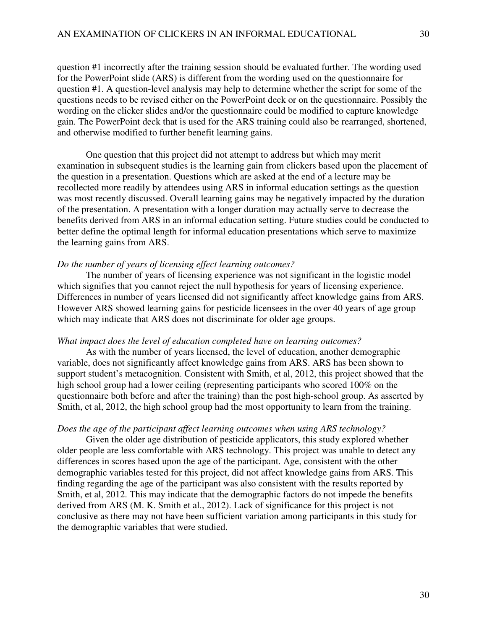question #1 incorrectly after the training session should be evaluated further. The wording used for the PowerPoint slide (ARS) is different from the wording used on the questionnaire for question #1. A question-level analysis may help to determine whether the script for some of the questions needs to be revised either on the PowerPoint deck or on the questionnaire. Possibly the wording on the clicker slides and/or the questionnaire could be modified to capture knowledge gain. The PowerPoint deck that is used for the ARS training could also be rearranged, shortened, and otherwise modified to further benefit learning gains.

 One question that this project did not attempt to address but which may merit examination in subsequent studies is the learning gain from clickers based upon the placement of the question in a presentation. Questions which are asked at the end of a lecture may be recollected more readily by attendees using ARS in informal education settings as the question was most recently discussed. Overall learning gains may be negatively impacted by the duration of the presentation. A presentation with a longer duration may actually serve to decrease the benefits derived from ARS in an informal education setting. Future studies could be conducted to better define the optimal length for informal education presentations which serve to maximize the learning gains from ARS.

#### *Do the number of years of licensing effect learning outcomes?*

 The number of years of licensing experience was not significant in the logistic model which signifies that you cannot reject the null hypothesis for years of licensing experience. Differences in number of years licensed did not significantly affect knowledge gains from ARS. However ARS showed learning gains for pesticide licensees in the over 40 years of age group which may indicate that ARS does not discriminate for older age groups.

### *What impact does the level of education completed have on learning outcomes?*

As with the number of years licensed, the level of education, another demographic variable, does not significantly affect knowledge gains from ARS. ARS has been shown to support student's metacognition. Consistent with Smith, et al, 2012, this project showed that the high school group had a lower ceiling (representing participants who scored 100% on the questionnaire both before and after the training) than the post high-school group. As asserted by Smith, et al, 2012, the high school group had the most opportunity to learn from the training.

#### *Does the age of the participant affect learning outcomes when using ARS technology?*

 Given the older age distribution of pesticide applicators, this study explored whether older people are less comfortable with ARS technology. This project was unable to detect any differences in scores based upon the age of the participant. Age, consistent with the other demographic variables tested for this project, did not affect knowledge gains from ARS. This finding regarding the age of the participant was also consistent with the results reported by Smith, et al, 2012. This may indicate that the demographic factors do not impede the benefits derived from ARS (M. K. Smith et al., 2012). Lack of significance for this project is not conclusive as there may not have been sufficient variation among participants in this study for the demographic variables that were studied.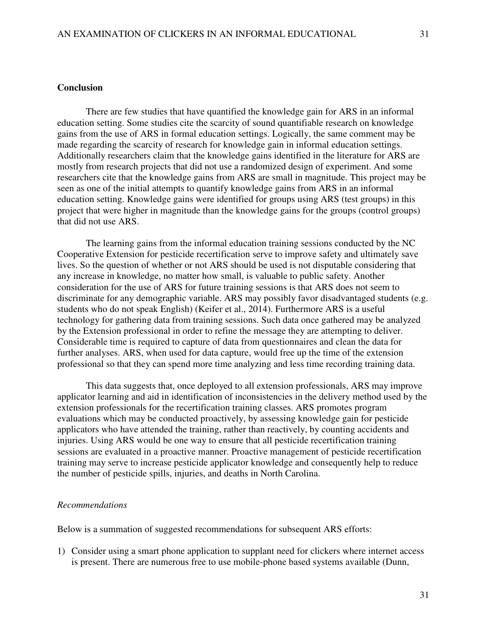### **Conclusion**

 There are few studies that have quantified the knowledge gain for ARS in an informal education setting. Some studies cite the scarcity of sound quantifiable research on knowledge gains from the use of ARS in formal education settings. Logically, the same comment may be made regarding the scarcity of research for knowledge gain in informal education settings. Additionally researchers claim that the knowledge gains identified in the literature for ARS are mostly from research projects that did not use a randomized design of experiment. And some researchers cite that the knowledge gains from ARS are small in magnitude. This project may be seen as one of the initial attempts to quantify knowledge gains from ARS in an informal education setting. Knowledge gains were identified for groups using ARS (test groups) in this project that were higher in magnitude than the knowledge gains for the groups (control groups) that did not use ARS.

 The learning gains from the informal education training sessions conducted by the NC Cooperative Extension for pesticide recertification serve to improve safety and ultimately save lives. So the question of whether or not ARS should be used is not disputable considering that any increase in knowledge, no matter how small, is valuable to public safety. Another consideration for the use of ARS for future training sessions is that ARS does not seem to discriminate for any demographic variable. ARS may possibly favor disadvantaged students (e.g. students who do not speak English) (Keifer et al., 2014). Furthermore ARS is a useful technology for gathering data from training sessions. Such data once gathered may be analyzed by the Extension professional in order to refine the message they are attempting to deliver. Considerable time is required to capture of data from questionnaires and clean the data for further analyses. ARS, when used for data capture, would free up the time of the extension professional so that they can spend more time analyzing and less time recording training data.

 This data suggests that, once deployed to all extension professionals, ARS may improve applicator learning and aid in identification of inconsistencies in the delivery method used by the extension professionals for the recertification training classes. ARS promotes program evaluations which may be conducted proactively, by assessing knowledge gain for pesticide applicators who have attended the training, rather than reactively, by counting accidents and injuries. Using ARS would be one way to ensure that all pesticide recertification training sessions are evaluated in a proactive manner. Proactive management of pesticide recertification training may serve to increase pesticide applicator knowledge and consequently help to reduce the number of pesticide spills, injuries, and deaths in North Carolina.

#### *Recommendations*

Below is a summation of suggested recommendations for subsequent ARS efforts:

1) Consider using a smart phone application to supplant need for clickers where internet access is present. There are numerous free to use mobile-phone based systems available (Dunn,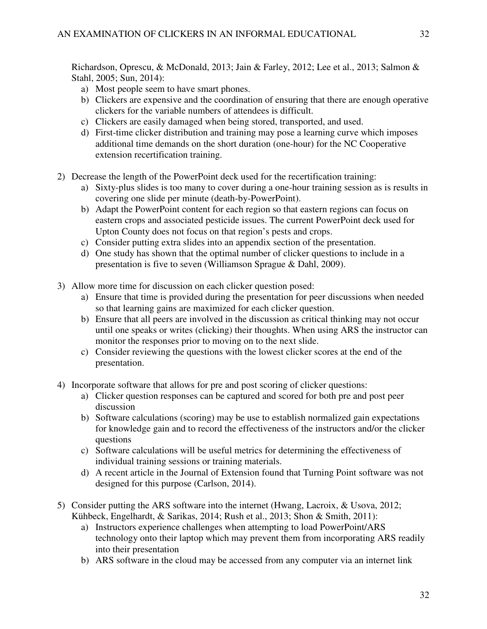Richardson, Oprescu, & McDonald, 2013; Jain & Farley, 2012; Lee et al., 2013; Salmon & Stahl, 2005; Sun, 2014):

- a) Most people seem to have smart phones.
- b) Clickers are expensive and the coordination of ensuring that there are enough operative clickers for the variable numbers of attendees is difficult.
- c) Clickers are easily damaged when being stored, transported, and used.
- d) First-time clicker distribution and training may pose a learning curve which imposes additional time demands on the short duration (one-hour) for the NC Cooperative extension recertification training.
- 2) Decrease the length of the PowerPoint deck used for the recertification training:
	- a) Sixty-plus slides is too many to cover during a one-hour training session as is results in covering one slide per minute (death-by-PowerPoint).
	- b) Adapt the PowerPoint content for each region so that eastern regions can focus on eastern crops and associated pesticide issues. The current PowerPoint deck used for Upton County does not focus on that region's pests and crops.
	- c) Consider putting extra slides into an appendix section of the presentation.
	- d) One study has shown that the optimal number of clicker questions to include in a presentation is five to seven (Williamson Sprague & Dahl, 2009).
- 3) Allow more time for discussion on each clicker question posed:
	- a) Ensure that time is provided during the presentation for peer discussions when needed so that learning gains are maximized for each clicker question.
	- b) Ensure that all peers are involved in the discussion as critical thinking may not occur until one speaks or writes (clicking) their thoughts. When using ARS the instructor can monitor the responses prior to moving on to the next slide.
	- c) Consider reviewing the questions with the lowest clicker scores at the end of the presentation.
- 4) Incorporate software that allows for pre and post scoring of clicker questions:
	- a) Clicker question responses can be captured and scored for both pre and post peer discussion
	- b) Software calculations (scoring) may be use to establish normalized gain expectations for knowledge gain and to record the effectiveness of the instructors and/or the clicker questions
	- c) Software calculations will be useful metrics for determining the effectiveness of individual training sessions or training materials.
	- d) A recent article in the Journal of Extension found that Turning Point software was not designed for this purpose (Carlson, 2014).
- 5) Consider putting the ARS software into the internet (Hwang, Lacroix, & Usova, 2012; Kühbeck, Engelhardt, & Sarikas, 2014; Rush et al., 2013; Shon & Smith, 2011):
	- a) Instructors experience challenges when attempting to load PowerPoint/ARS technology onto their laptop which may prevent them from incorporating ARS readily into their presentation
	- b) ARS software in the cloud may be accessed from any computer via an internet link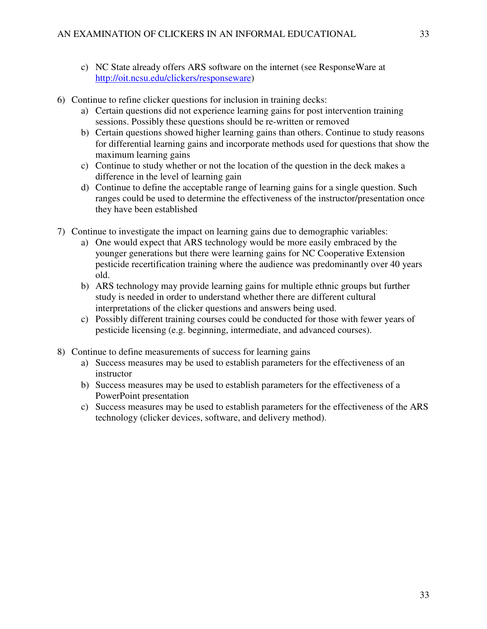- c) NC State already offers ARS software on the internet (see ResponseWare at http://oit.ncsu.edu/clickers/responseware)
- 6) Continue to refine clicker questions for inclusion in training decks:
	- a) Certain questions did not experience learning gains for post intervention training sessions. Possibly these questions should be re-written or removed
	- b) Certain questions showed higher learning gains than others. Continue to study reasons for differential learning gains and incorporate methods used for questions that show the maximum learning gains
	- c) Continue to study whether or not the location of the question in the deck makes a difference in the level of learning gain
	- d) Continue to define the acceptable range of learning gains for a single question. Such ranges could be used to determine the effectiveness of the instructor/presentation once they have been established
- 7) Continue to investigate the impact on learning gains due to demographic variables:
	- a) One would expect that ARS technology would be more easily embraced by the younger generations but there were learning gains for NC Cooperative Extension pesticide recertification training where the audience was predominantly over 40 years old.
	- b) ARS technology may provide learning gains for multiple ethnic groups but further study is needed in order to understand whether there are different cultural interpretations of the clicker questions and answers being used.
	- c) Possibly different training courses could be conducted for those with fewer years of pesticide licensing (e.g. beginning, intermediate, and advanced courses).
- 8) Continue to define measurements of success for learning gains
	- a) Success measures may be used to establish parameters for the effectiveness of an instructor
	- b) Success measures may be used to establish parameters for the effectiveness of a PowerPoint presentation
	- c) Success measures may be used to establish parameters for the effectiveness of the ARS technology (clicker devices, software, and delivery method).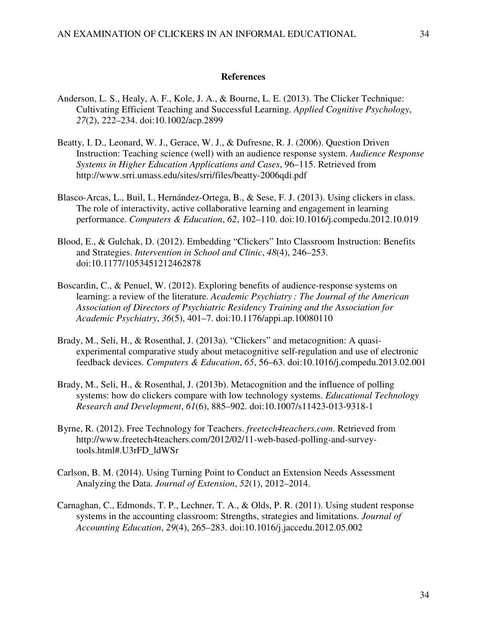#### **References**

- Anderson, L. S., Healy, A. F., Kole, J. A., & Bourne, L. E. (2013). The Clicker Technique: Cultivating Efficient Teaching and Successful Learning. *Applied Cognitive Psychology*, *27*(2), 222–234. doi:10.1002/acp.2899
- Beatty, I. D., Leonard, W. J., Gerace, W. J., & Dufresne, R. J. (2006). Question Driven Instruction: Teaching science (well) with an audience response system. *Audience Response Systems in Higher Education Applications and Cases*, 96–115. Retrieved from http://www.srri.umass.edu/sites/srri/files/beatty-2006qdi.pdf
- Blasco-Arcas, L., Buil, I., Hernández-Ortega, B., & Sese, F. J. (2013). Using clickers in class. The role of interactivity, active collaborative learning and engagement in learning performance. *Computers & Education*, *62*, 102–110. doi:10.1016/j.compedu.2012.10.019
- Blood, E., & Gulchak, D. (2012). Embedding "Clickers" Into Classroom Instruction: Benefits and Strategies. *Intervention in School and Clinic*, *48*(4), 246–253. doi:10.1177/1053451212462878
- Boscardin, C., & Penuel, W. (2012). Exploring benefits of audience-response systems on learning: a review of the literature. *Academic Psychiatry : The Journal of the American Association of Directors of Psychiatric Residency Training and the Association for Academic Psychiatry*, *36*(5), 401–7. doi:10.1176/appi.ap.10080110
- Brady, M., Seli, H., & Rosenthal, J. (2013a). "Clickers" and metacognition: A quasiexperimental comparative study about metacognitive self-regulation and use of electronic feedback devices. *Computers & Education*, *65*, 56–63. doi:10.1016/j.compedu.2013.02.001
- Brady, M., Seli, H., & Rosenthal, J. (2013b). Metacognition and the influence of polling systems: how do clickers compare with low technology systems. *Educational Technology Research and Development*, *61*(6), 885–902. doi:10.1007/s11423-013-9318-1
- Byrne, R. (2012). Free Technology for Teachers. *freetech4teachers.com*. Retrieved from http://www.freetech4teachers.com/2012/02/11-web-based-polling-and-surveytools.html#.U3rFD\_ldWSr
- Carlson, B. M. (2014). Using Turning Point to Conduct an Extension Needs Assessment Analyzing the Data. *Journal of Extension*, *52*(1), 2012–2014.
- Carnaghan, C., Edmonds, T. P., Lechner, T. A., & Olds, P. R. (2011). Using student response systems in the accounting classroom: Strengths, strategies and limitations. *Journal of Accounting Education*, *29*(4), 265–283. doi:10.1016/j.jaccedu.2012.05.002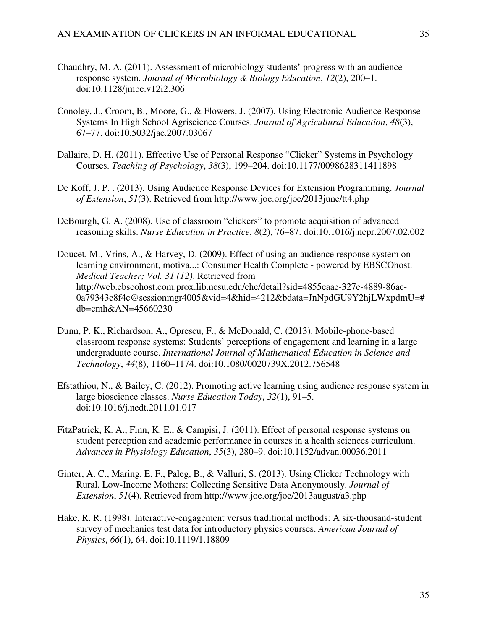- Chaudhry, M. A. (2011). Assessment of microbiology students' progress with an audience response system. *Journal of Microbiology & Biology Education*, *12*(2), 200–1. doi:10.1128/jmbe.v12i2.306
- Conoley, J., Croom, B., Moore, G., & Flowers, J. (2007). Using Electronic Audience Response Systems In High School Agriscience Courses. *Journal of Agricultural Education*, *48*(3), 67–77. doi:10.5032/jae.2007.03067
- Dallaire, D. H. (2011). Effective Use of Personal Response "Clicker" Systems in Psychology Courses. *Teaching of Psychology*, *38*(3), 199–204. doi:10.1177/0098628311411898
- De Koff, J. P. . (2013). Using Audience Response Devices for Extension Programming. *Journal of Extension*, *51*(3). Retrieved from http://www.joe.org/joe/2013june/tt4.php
- DeBourgh, G. A. (2008). Use of classroom "clickers" to promote acquisition of advanced reasoning skills. *Nurse Education in Practice*, *8*(2), 76–87. doi:10.1016/j.nepr.2007.02.002
- Doucet, M., Vrins, A., & Harvey, D. (2009). Effect of using an audience response system on learning environment, motiva...: Consumer Health Complete - powered by EBSCOhost. *Medical Teacher; Vol. 31 (12)*. Retrieved from http://web.ebscohost.com.prox.lib.ncsu.edu/chc/detail?sid=4855eaae-327e-4889-86ac-0a79343e8f4c@sessionmgr4005&vid=4&hid=4212&bdata=JnNpdGU9Y2hjLWxpdmU=# db=cmh&AN=45660230
- Dunn, P. K., Richardson, A., Oprescu, F., & McDonald, C. (2013). Mobile-phone-based classroom response systems: Students' perceptions of engagement and learning in a large undergraduate course. *International Journal of Mathematical Education in Science and Technology*, *44*(8), 1160–1174. doi:10.1080/0020739X.2012.756548
- Efstathiou, N., & Bailey, C. (2012). Promoting active learning using audience response system in large bioscience classes. *Nurse Education Today*, *32*(1), 91–5. doi:10.1016/j.nedt.2011.01.017
- FitzPatrick, K. A., Finn, K. E., & Campisi, J. (2011). Effect of personal response systems on student perception and academic performance in courses in a health sciences curriculum. *Advances in Physiology Education*, *35*(3), 280–9. doi:10.1152/advan.00036.2011
- Ginter, A. C., Maring, E. F., Paleg, B., & Valluri, S. (2013). Using Clicker Technology with Rural, Low-Income Mothers: Collecting Sensitive Data Anonymously. *Journal of Extension*, *51*(4). Retrieved from http://www.joe.org/joe/2013august/a3.php
- Hake, R. R. (1998). Interactive-engagement versus traditional methods: A six-thousand-student survey of mechanics test data for introductory physics courses. *American Journal of Physics*, *66*(1), 64. doi:10.1119/1.18809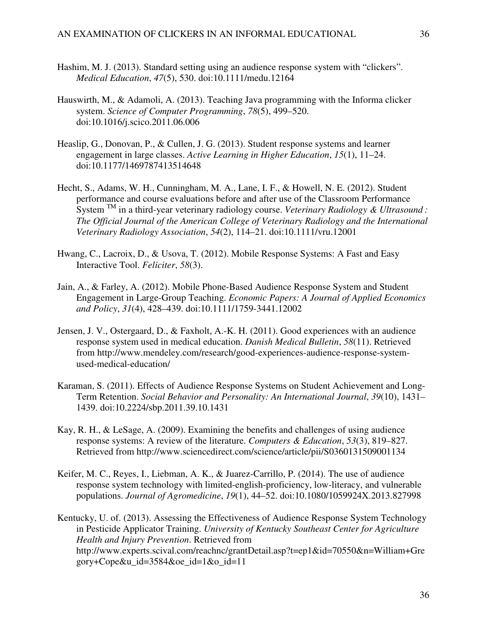- Hashim, M. J. (2013). Standard setting using an audience response system with "clickers". *Medical Education*, *47*(5), 530. doi:10.1111/medu.12164
- Hauswirth, M., & Adamoli, A. (2013). Teaching Java programming with the Informa clicker system. *Science of Computer Programming*, *78*(5), 499–520. doi:10.1016/j.scico.2011.06.006
- Heaslip, G., Donovan, P., & Cullen, J. G. (2013). Student response systems and learner engagement in large classes. *Active Learning in Higher Education*, *15*(1), 11–24. doi:10.1177/1469787413514648
- Hecht, S., Adams, W. H., Cunningham, M. A., Lane, I. F., & Howell, N. E. (2012). Student performance and course evaluations before and after use of the Classroom Performance System TM in a third-year veterinary radiology course. *Veterinary Radiology & Ultrasound : The Official Journal of the American College of Veterinary Radiology and the International Veterinary Radiology Association*, *54*(2), 114–21. doi:10.1111/vru.12001
- Hwang, C., Lacroix, D., & Usova, T. (2012). Mobile Response Systems: A Fast and Easy Interactive Tool. *Feliciter*, *58*(3).
- Jain, A., & Farley, A. (2012). Mobile Phone-Based Audience Response System and Student Engagement in Large-Group Teaching. *Economic Papers: A Journal of Applied Economics and Policy*, *31*(4), 428–439. doi:10.1111/1759-3441.12002
- Jensen, J. V., Ostergaard, D., & Faxholt, A.-K. H. (2011). Good experiences with an audience response system used in medical education. *Danish Medical Bulletin*, *58*(11). Retrieved from http://www.mendeley.com/research/good-experiences-audience-response-systemused-medical-education/
- Karaman, S. (2011). Effects of Audience Response Systems on Student Achievement and Long-Term Retention. *Social Behavior and Personality: An International Journal*, *39*(10), 1431– 1439. doi:10.2224/sbp.2011.39.10.1431
- Kay, R. H., & LeSage, A. (2009). Examining the benefits and challenges of using audience response systems: A review of the literature. *Computers & Education*, *53*(3), 819–827. Retrieved from http://www.sciencedirect.com/science/article/pii/S0360131509001134
- Keifer, M. C., Reyes, I., Liebman, A. K., & Juarez-Carrillo, P. (2014). The use of audience response system technology with limited-english-proficiency, low-literacy, and vulnerable populations. *Journal of Agromedicine*, *19*(1), 44–52. doi:10.1080/1059924X.2013.827998

Kentucky, U. of. (2013). Assessing the Effectiveness of Audience Response System Technology in Pesticide Applicator Training. *University of Kentucky Southeast Center for Agriculture Health and Injury Prevention*. Retrieved from http://www.experts.scival.com/reachnc/grantDetail.asp?t=ep1&id=70550&n=William+Gre gory+Cope&u\_id=3584&oe\_id=1&o\_id=11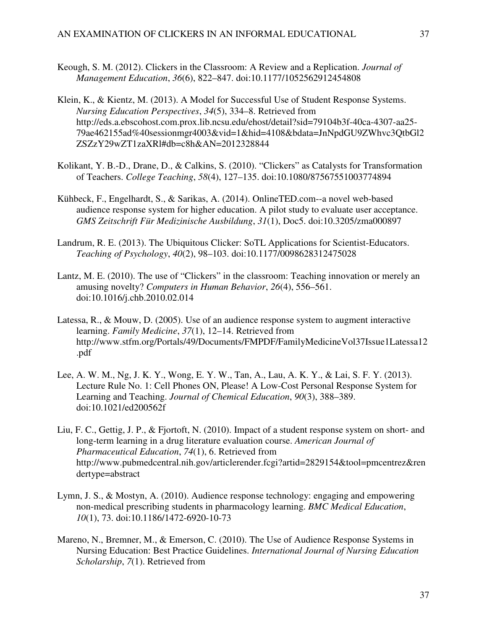- Keough, S. M. (2012). Clickers in the Classroom: A Review and a Replication. *Journal of Management Education*, *36*(6), 822–847. doi:10.1177/1052562912454808
- Klein, K., & Kientz, M. (2013). A Model for Successful Use of Student Response Systems. *Nursing Education Perspectives*, *34*(5), 334–8. Retrieved from http://eds.a.ebscohost.com.prox.lib.ncsu.edu/ehost/detail?sid=79104b3f-40ca-4307-aa25- 79ae462155ad%40sessionmgr4003&vid=1&hid=4108&bdata=JnNpdGU9ZWhvc3QtbGl2 ZSZzY29wZT1zaXRl#db=c8h&AN=2012328844
- Kolikant, Y. B.-D., Drane, D., & Calkins, S. (2010). "Clickers" as Catalysts for Transformation of Teachers. *College Teaching*, *58*(4), 127–135. doi:10.1080/87567551003774894
- Kühbeck, F., Engelhardt, S., & Sarikas, A. (2014). OnlineTED.com--a novel web-based audience response system for higher education. A pilot study to evaluate user acceptance. *GMS Zeitschrift Für Medizinische Ausbildung*, *31*(1), Doc5. doi:10.3205/zma000897
- Landrum, R. E. (2013). The Ubiquitous Clicker: SoTL Applications for Scientist-Educators. *Teaching of Psychology*, *40*(2), 98–103. doi:10.1177/0098628312475028
- Lantz, M. E. (2010). The use of "Clickers" in the classroom: Teaching innovation or merely an amusing novelty? *Computers in Human Behavior*, *26*(4), 556–561. doi:10.1016/j.chb.2010.02.014
- Latessa, R., & Mouw, D. (2005). Use of an audience response system to augment interactive learning. *Family Medicine*, *37*(1), 12–14. Retrieved from http://www.stfm.org/Portals/49/Documents/FMPDF/FamilyMedicineVol37Issue1Latessa12 .pdf
- Lee, A. W. M., Ng, J. K. Y., Wong, E. Y. W., Tan, A., Lau, A. K. Y., & Lai, S. F. Y. (2013). Lecture Rule No. 1: Cell Phones ON, Please! A Low-Cost Personal Response System for Learning and Teaching. *Journal of Chemical Education*, *90*(3), 388–389. doi:10.1021/ed200562f
- Liu, F. C., Gettig, J. P., & Fjortoft, N. (2010). Impact of a student response system on short- and long-term learning in a drug literature evaluation course. *American Journal of Pharmaceutical Education*, *74*(1), 6. Retrieved from http://www.pubmedcentral.nih.gov/articlerender.fcgi?artid=2829154&tool=pmcentrez&ren dertype=abstract
- Lymn, J. S., & Mostyn, A. (2010). Audience response technology: engaging and empowering non-medical prescribing students in pharmacology learning. *BMC Medical Education*, *10*(1), 73. doi:10.1186/1472-6920-10-73
- Mareno, N., Bremner, M., & Emerson, C. (2010). The Use of Audience Response Systems in Nursing Education: Best Practice Guidelines. *International Journal of Nursing Education Scholarship*, *7*(1). Retrieved from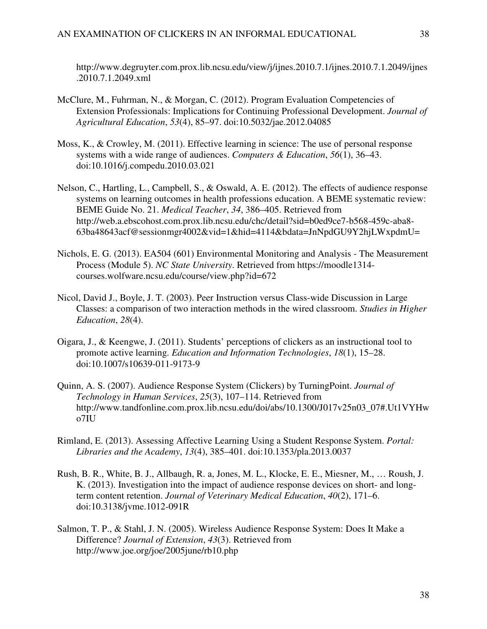http://www.degruyter.com.prox.lib.ncsu.edu/view/j/ijnes.2010.7.1/ijnes.2010.7.1.2049/ijnes .2010.7.1.2049.xml

- McClure, M., Fuhrman, N., & Morgan, C. (2012). Program Evaluation Competencies of Extension Professionals: Implications for Continuing Professional Development. *Journal of Agricultural Education*, *53*(4), 85–97. doi:10.5032/jae.2012.04085
- Moss, K., & Crowley, M. (2011). Effective learning in science: The use of personal response systems with a wide range of audiences. *Computers & Education*, *56*(1), 36–43. doi:10.1016/j.compedu.2010.03.021
- Nelson, C., Hartling, L., Campbell, S., & Oswald, A. E. (2012). The effects of audience response systems on learning outcomes in health professions education. A BEME systematic review: BEME Guide No. 21. *Medical Teacher*, *34*, 386–405. Retrieved from http://web.a.ebscohost.com.prox.lib.ncsu.edu/chc/detail?sid=b0ed9ce7-b568-459c-aba8- 63ba48643acf@sessionmgr4002&vid=1&hid=4114&bdata=JnNpdGU9Y2hjLWxpdmU=
- Nichols, E. G. (2013). EA504 (601) Environmental Monitoring and Analysis The Measurement Process (Module 5). *NC State University*. Retrieved from https://moodle1314 courses.wolfware.ncsu.edu/course/view.php?id=672
- Nicol, David J., Boyle, J. T. (2003). Peer Instruction versus Class-wide Discussion in Large Classes: a comparison of two interaction methods in the wired classroom. *Studies in Higher Education*, *28*(4).
- Oigara, J., & Keengwe, J. (2011). Students' perceptions of clickers as an instructional tool to promote active learning. *Education and Information Technologies*, *18*(1), 15–28. doi:10.1007/s10639-011-9173-9
- Quinn, A. S. (2007). Audience Response System (Clickers) by TurningPoint. *Journal of Technology in Human Services*, *25*(3), 107–114. Retrieved from http://www.tandfonline.com.prox.lib.ncsu.edu/doi/abs/10.1300/J017v25n03\_07#.Ut1VYHw o7IU
- Rimland, E. (2013). Assessing Affective Learning Using a Student Response System. *Portal: Libraries and the Academy*, *13*(4), 385–401. doi:10.1353/pla.2013.0037
- Rush, B. R., White, B. J., Allbaugh, R. a, Jones, M. L., Klocke, E. E., Miesner, M., … Roush, J. K. (2013). Investigation into the impact of audience response devices on short- and longterm content retention. *Journal of Veterinary Medical Education*, *40*(2), 171–6. doi:10.3138/jvme.1012-091R
- Salmon, T. P., & Stahl, J. N. (2005). Wireless Audience Response System: Does It Make a Difference? *Journal of Extension*, *43*(3). Retrieved from http://www.joe.org/joe/2005june/rb10.php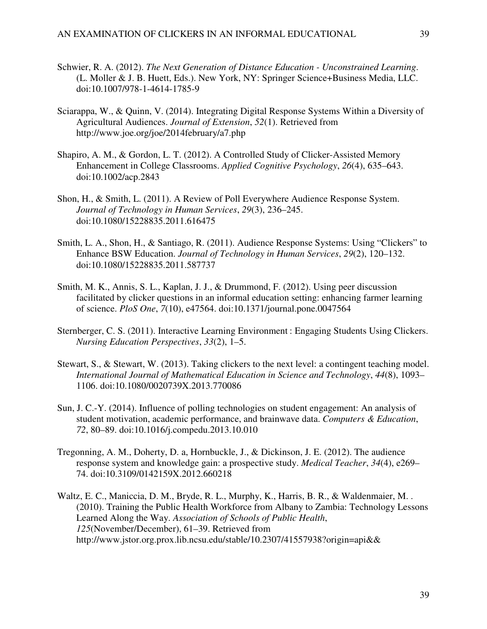- Schwier, R. A. (2012). *The Next Generation of Distance Education Unconstrained Learning*. (L. Moller & J. B. Huett, Eds.). New York, NY: Springer Science+Business Media, LLC. doi:10.1007/978-1-4614-1785-9
- Sciarappa, W., & Quinn, V. (2014). Integrating Digital Response Systems Within a Diversity of Agricultural Audiences. *Journal of Extension*, *52*(1). Retrieved from http://www.joe.org/joe/2014february/a7.php
- Shapiro, A. M., & Gordon, L. T. (2012). A Controlled Study of Clicker-Assisted Memory Enhancement in College Classrooms. *Applied Cognitive Psychology*, *26*(4), 635–643. doi:10.1002/acp.2843
- Shon, H., & Smith, L. (2011). A Review of Poll Everywhere Audience Response System. *Journal of Technology in Human Services*, *29*(3), 236–245. doi:10.1080/15228835.2011.616475
- Smith, L. A., Shon, H., & Santiago, R. (2011). Audience Response Systems: Using "Clickers" to Enhance BSW Education. *Journal of Technology in Human Services*, *29*(2), 120–132. doi:10.1080/15228835.2011.587737
- Smith, M. K., Annis, S. L., Kaplan, J. J., & Drummond, F. (2012). Using peer discussion facilitated by clicker questions in an informal education setting: enhancing farmer learning of science. *PloS One*, *7*(10), e47564. doi:10.1371/journal.pone.0047564
- Sternberger, C. S. (2011). Interactive Learning Environment : Engaging Students Using Clickers. *Nursing Education Perspectives*, *33*(2), 1–5.
- Stewart, S., & Stewart, W. (2013). Taking clickers to the next level: a contingent teaching model. *International Journal of Mathematical Education in Science and Technology*, *44*(8), 1093– 1106. doi:10.1080/0020739X.2013.770086
- Sun, J. C.-Y. (2014). Influence of polling technologies on student engagement: An analysis of student motivation, academic performance, and brainwave data. *Computers & Education*, *72*, 80–89. doi:10.1016/j.compedu.2013.10.010
- Tregonning, A. M., Doherty, D. a, Hornbuckle, J., & Dickinson, J. E. (2012). The audience response system and knowledge gain: a prospective study. *Medical Teacher*, *34*(4), e269– 74. doi:10.3109/0142159X.2012.660218
- Waltz, E. C., Maniccia, D. M., Bryde, R. L., Murphy, K., Harris, B. R., & Waldenmaier, M. . (2010). Training the Public Health Workforce from Albany to Zambia: Technology Lessons Learned Along the Way. *Association of Schools of Public Health*, *125*(November/December), 61–39. Retrieved from http://www.jstor.org.prox.lib.ncsu.edu/stable/10.2307/41557938?origin=api&&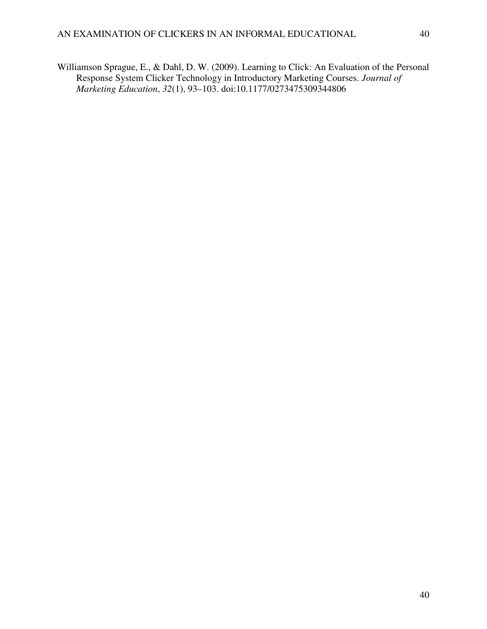Williamson Sprague, E., & Dahl, D. W. (2009). Learning to Click: An Evaluation of the Personal Response System Clicker Technology in Introductory Marketing Courses. *Journal of Marketing Education*, *32*(1), 93–103. doi:10.1177/0273475309344806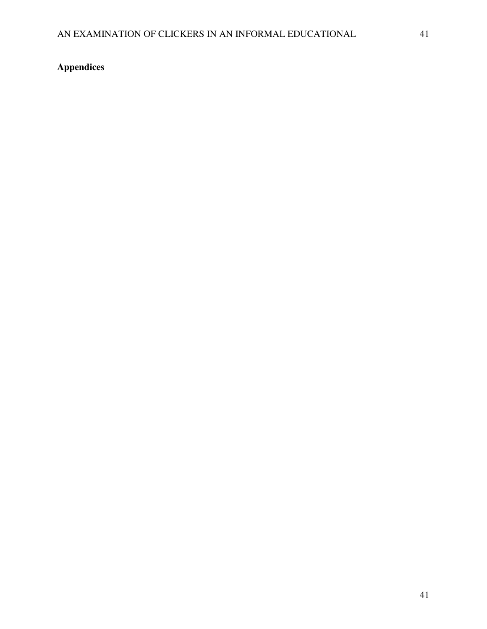# **Appendices**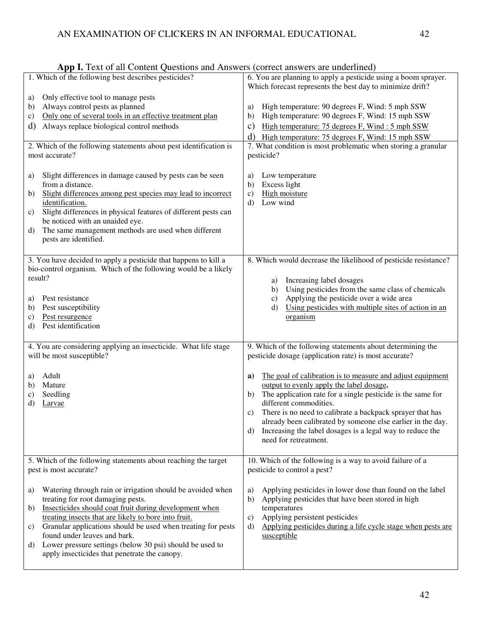|          | 1. Which of the following best describes pesticides?                                                      | 6. You are planning to apply a pesticide using a boom sprayer.                                                                 |
|----------|-----------------------------------------------------------------------------------------------------------|--------------------------------------------------------------------------------------------------------------------------------|
|          |                                                                                                           | Which forecast represents the best day to minimize drift?                                                                      |
| a)       | Only effective tool to manage pests                                                                       |                                                                                                                                |
| b)       | Always control pests as planned                                                                           | High temperature: 90 degrees F, Wind: 5 mph SSW<br>a)                                                                          |
| C)       | Only one of several tools in an effective treatment plan                                                  | High temperature: 90 degrees F, Wind: 15 mph SSW<br>b)                                                                         |
| d)       | Always replace biological control methods                                                                 | High temperature: 75 degrees F, Wind: 5 mph SSW<br>$\mathbf{c})$                                                               |
|          |                                                                                                           | High temperature: 75 degrees F, Wind: 15 mph SSW<br>d)                                                                         |
|          | 2. Which of the following statements about pest identification is                                         | 7. What condition is most problematic when storing a granular                                                                  |
|          | most accurate?                                                                                            | pesticide?                                                                                                                     |
|          |                                                                                                           |                                                                                                                                |
|          | Slight differences in damage caused by pests can be seen                                                  |                                                                                                                                |
| a)       | from a distance.                                                                                          | Low temperature<br>a)<br>Excess light<br>b)                                                                                    |
| b)       | Slight differences among pest species may lead to incorrect                                               | High moisture<br>$\mathbf{c})$                                                                                                 |
|          | identification.                                                                                           | Low wind<br>d)                                                                                                                 |
| C)       | Slight differences in physical features of different pests can                                            |                                                                                                                                |
|          | be noticed with an unaided eye.                                                                           |                                                                                                                                |
| d)       | The same management methods are used when different                                                       |                                                                                                                                |
|          | pests are identified.                                                                                     |                                                                                                                                |
|          |                                                                                                           |                                                                                                                                |
|          | 3. You have decided to apply a pesticide that happens to kill a                                           | 8. Which would decrease the likelihood of pesticide resistance?                                                                |
|          | bio-control organism. Which of the following would be a likely                                            |                                                                                                                                |
| result?  |                                                                                                           |                                                                                                                                |
|          |                                                                                                           | Increasing label dosages<br>a)<br>Using pesticides from the same class of chemicals                                            |
|          | Pest resistance                                                                                           | b)<br>Applying the pesticide over a wide area                                                                                  |
| a)       | Pest susceptibility                                                                                       | c)<br>Using pesticides with multiple sites of action in an<br>d)                                                               |
| b)<br>C) | Pest resurgence                                                                                           | organism                                                                                                                       |
| d)       | Pest identification                                                                                       |                                                                                                                                |
|          |                                                                                                           |                                                                                                                                |
|          |                                                                                                           |                                                                                                                                |
|          | 4. You are considering applying an insecticide. What life stage                                           | 9. Which of the following statements about determining the                                                                     |
|          | will be most susceptible?                                                                                 | pesticide dosage (application rate) is most accurate?                                                                          |
|          |                                                                                                           |                                                                                                                                |
| a)       | Adult                                                                                                     | The goal of calibration is to measure and adjust equipment<br>a)                                                               |
| b)       | Mature                                                                                                    | output to evenly apply the label dosage.                                                                                       |
| C)       | Seedling                                                                                                  | The application rate for a single pesticide is the same for<br>b)                                                              |
| d)       | Larvae                                                                                                    | different commodities.                                                                                                         |
|          |                                                                                                           | There is no need to calibrate a backpack sprayer that has<br>C)<br>already been calibrated by someone else earlier in the day. |
|          |                                                                                                           | d)<br>Increasing the label dosages is a legal way to reduce the                                                                |
|          |                                                                                                           | need for retreatment.                                                                                                          |
|          |                                                                                                           |                                                                                                                                |
|          |                                                                                                           |                                                                                                                                |
|          |                                                                                                           |                                                                                                                                |
|          | 5. Which of the following statements about reaching the target                                            | 10. Which of the following is a way to avoid failure of a                                                                      |
|          | pest is most accurate?                                                                                    | pesticide to control a pest?                                                                                                   |
|          |                                                                                                           |                                                                                                                                |
| a)       | Watering through rain or irrigation should be avoided when                                                | Applying pesticides in lower dose than found on the label<br>a)                                                                |
|          | treating for root damaging pests.                                                                         | Applying pesticides that have been stored in high<br>b)                                                                        |
| b)       | Insecticides should coat fruit during development when                                                    | temperatures                                                                                                                   |
|          | treating insects that are likely to bore into fruit.                                                      | Applying persistent pesticides<br>C)                                                                                           |
| C)       | Granular applications should be used when treating for pests                                              | Applying pesticides during a life cycle stage when pests are<br>d)                                                             |
|          | found under leaves and bark.                                                                              | susceptible                                                                                                                    |
| d)       | Lower pressure settings (below 30 psi) should be used to<br>apply insecticides that penetrate the canopy. |                                                                                                                                |

| App I. Text of all Content Questions and Answers (correct answers are underlined) |  |
|-----------------------------------------------------------------------------------|--|
|-----------------------------------------------------------------------------------|--|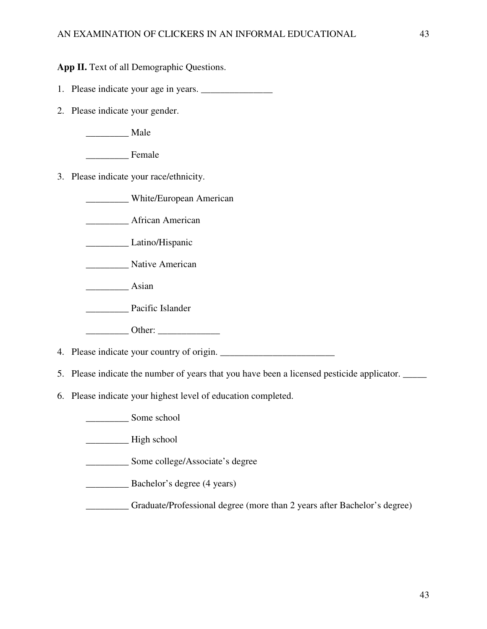**App II.** Text of all Demographic Questions.

- 1. Please indicate your age in years.
- 2. Please indicate your gender.

\_\_\_\_\_\_\_\_\_ Male

\_\_\_\_\_\_\_\_\_ Female

3. Please indicate your race/ethnicity.

\_\_\_\_\_\_\_\_\_ White/European American

\_\_\_\_\_\_\_\_\_ African American

\_\_\_\_\_\_\_\_\_ Latino/Hispanic

\_\_\_\_\_\_\_\_\_ Native American

 $\frac{\ }{\ }$  Asian

\_\_\_\_\_\_\_\_\_ Pacific Islander

\_\_\_\_\_\_\_\_\_ Other: \_\_\_\_\_\_\_\_\_\_\_\_\_

4. Please indicate your country of origin. \_\_\_\_\_\_\_\_\_\_\_\_\_\_\_\_\_\_\_\_\_\_\_\_

- 5. Please indicate the number of years that you have been a licensed pesticide applicator. \_\_\_\_\_
- 6. Please indicate your highest level of education completed.

\_\_\_\_\_\_\_\_\_ Some school

\_\_\_\_\_\_\_\_\_ High school

\_\_\_\_\_\_\_\_\_ Some college/Associate's degree

\_\_\_\_\_\_\_\_\_ Bachelor's degree (4 years)

\_\_\_\_\_\_\_\_\_ Graduate/Professional degree (more than 2 years after Bachelor's degree)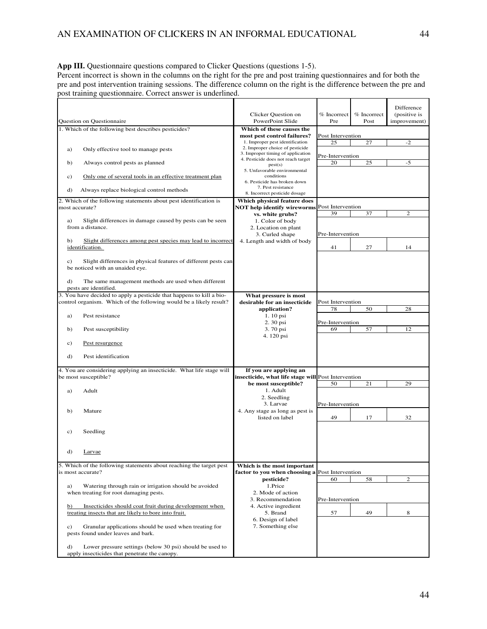**App III.** Questionnaire questions compared to Clicker Questions (questions 1-5).

Percent incorrect is shown in the columns on the right for the pre and post training questionnaires and for both the pre and post intervention training sessions. The difference column on the right is the difference between the pre and post training questionnaire. Correct answer is underlined.

|                                                                                                                                                                      |                                                                                                         |                        |                       | Difference                   |
|----------------------------------------------------------------------------------------------------------------------------------------------------------------------|---------------------------------------------------------------------------------------------------------|------------------------|-----------------------|------------------------------|
| Question on Questionnaire                                                                                                                                            | Clicker Question on<br>PowerPoint Slide                                                                 | $%$ Incorrect<br>Pre   | $%$ Incorrect<br>Post | (positive is<br>improvement) |
| 1. Which of the following best describes pesticides?                                                                                                                 | Which of these causes the                                                                               |                        |                       |                              |
|                                                                                                                                                                      | most pest control failures?                                                                             | Post Intervention      |                       |                              |
| a)<br>Only effective tool to manage pests                                                                                                                            | 1. Improper pest identification<br>2. Improper choice of pesticide<br>3. Improper timing of application | 25<br>Pre-Intervention | 27                    | $-2$                         |
| Always control pests as planned<br>b)                                                                                                                                | 4. Pesticide does not reach target<br>pest(s)                                                           | 20                     | 25                    | $-5$                         |
| Only one of several tools in an effective treatment plan<br>c)                                                                                                       | 5. Unfavorable environmental<br>conditions<br>6. Pesticide has broken down                              |                        |                       |                              |
| d)<br>Always replace biological control methods                                                                                                                      | 7. Pest resistance<br>8. Incorrect pesticide dosage                                                     |                        |                       |                              |
| 2. Which of the following statements about pest identification is<br>most accurate?                                                                                  | Which physical feature does<br><b>NOT help identify wireworms</b>                                       | Post Intervention      |                       |                              |
| a)                                                                                                                                                                   | vs. white grubs?                                                                                        | 39                     | 37                    | $\overline{c}$               |
| Slight differences in damage caused by pests can be seen<br>from a distance.                                                                                         | 1. Color of body<br>2. Location on plant<br>3. Curled shape                                             | Pre-Intervention       |                       |                              |
| b)<br>Slight differences among pest species may lead to incorrect<br>identification.                                                                                 | 4. Length and width of body                                                                             | 41                     | 27                    | 14                           |
| Slight differences in physical features of different pests can<br>c)<br>be noticed with an unaided eye.<br>d)<br>The same management methods are used when different |                                                                                                         |                        |                       |                              |
| pests are identified.<br>3. You have decided to apply a pesticide that happens to kill a bio-                                                                        | What pressure is most                                                                                   |                        |                       |                              |
| control organism. Which of the following would be a likely result?                                                                                                   | desirable for an insecticide                                                                            | Post Intervention      |                       |                              |
| a)<br>Pest resistance                                                                                                                                                | application?<br>1.10 psi                                                                                | 78                     | 50                    | 28                           |
| b)<br>Pest susceptibility                                                                                                                                            | 2.30 psi<br>3.70 psi                                                                                    | Pre-Intervention<br>69 | 57                    | 12                           |
| Pest resurgence<br>c)                                                                                                                                                | 4.120 psi                                                                                               |                        |                       |                              |
| Pest identification<br>d)                                                                                                                                            |                                                                                                         |                        |                       |                              |
| 4. You are considering applying an insecticide. What life stage will<br>be most susceptible?                                                                         | If you are applying an<br>insecticide, what life stage will Post Intervention                           |                        |                       |                              |
|                                                                                                                                                                      | be most susceptible?                                                                                    | 50                     | 21                    | 29                           |
| Adult<br>a)                                                                                                                                                          | 1. Adult<br>2. Seedling                                                                                 |                        |                       |                              |
| Mature<br>b)                                                                                                                                                         | 3. Larvae<br>4. Any stage as long as pest is                                                            | Pre-Intervention       |                       |                              |
|                                                                                                                                                                      | listed on label                                                                                         | 49                     | 17                    | 32                           |
| Seedling<br>c)                                                                                                                                                       |                                                                                                         |                        |                       |                              |
| d)<br>Larvae                                                                                                                                                         |                                                                                                         |                        |                       |                              |
| 5. Which of the following statements about reaching the target pest<br>is most accurate?                                                                             | Which is the most important<br>factor to you when choosing a Post Intervention                          |                        |                       |                              |
|                                                                                                                                                                      | pesticide?                                                                                              | 60                     | 58                    | $\overline{c}$               |
| Watering through rain or irrigation should be avoided<br>a)<br>when treating for root damaging pests.                                                                | 1.Price<br>2. Mode of action<br>3. Recommendation                                                       | Pre-Intervention       |                       |                              |
| Insecticides should coat fruit during development when<br>b)<br>treating insects that are likely to bore into fruit.                                                 | 4. Active ingredient<br>5. Brand                                                                        | 57                     | 49                    | 8                            |
| Granular applications should be used when treating for<br>c)<br>pests found under leaves and bark.                                                                   | 6. Design of label<br>7. Something else                                                                 |                        |                       |                              |
| Lower pressure settings (below 30 psi) should be used to<br>d)<br>apply insecticides that penetrate the canopy.                                                      |                                                                                                         |                        |                       |                              |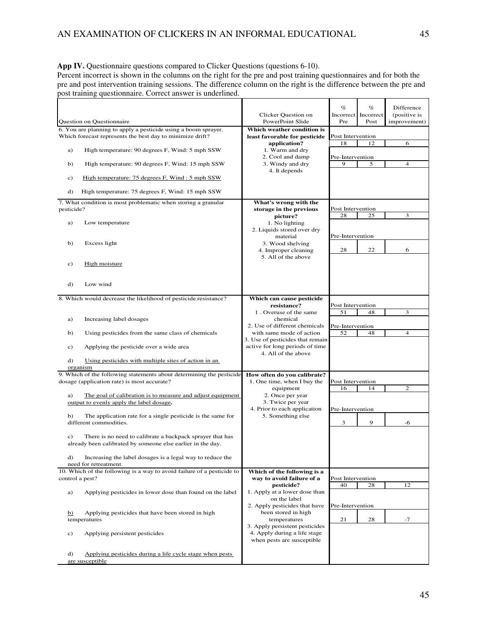#### **App IV.** Questionnaire questions compared to Clicker Questions (questions 6-10).

Percent incorrect is shown in the columns on the right for the pre and post training questionnaires and for both the pre and post intervention training sessions. The difference column on the right is the difference between the pre and post training questionnaire. Correct answer is underlined.

| 6. You are planning to apply a pesticide using a boom sprayer.<br>Which weather condition is<br>Which forecast represents the best day to minimize drift?<br>Post Intervention<br>least favorable for pesticide<br>18<br>12<br>6<br>application?<br>1. Warm and dry<br>High temperature: 90 degrees F, Wind: 5 mph SSW<br>a)<br>2. Cool and damp<br>Pre-Intervention<br>3. Windy and dry<br>$\overline{4}$<br>High temperature: 90 degrees F, Wind: 15 mph SSW<br>9<br>5<br>b)<br>4. It depends<br>High temperature: 75 degrees F, Wind: 5 mph SSW<br>c)<br>High temperature: 75 degrees F, Wind: 15 mph SSW<br>d)<br>7. What condition is most problematic when storing a granular<br>What's wrong with the<br>Post Intervention<br>pesticide?<br>storage in the previous<br>3<br>28<br>25<br>picture?<br>Low temperature<br>1. No lighting<br>a)<br>2. Liquids stored over dry<br>Pre-Intervention<br>material<br>Excess light<br>b)<br>3. Wood shelving<br>28<br>22<br>6<br>4. Improper cleaning<br>5. All of the above<br>High moisture<br>c)<br>d)<br>Low wind<br>8. Which would decrease the likelihood of pesticide resistance?<br>Which can cause pesticide<br>resistance?<br>Post Intervention<br>51<br>3<br>1. Overuse of the same<br>48<br>chemical<br>Increasing label dosages<br>a)<br>2. Use of different chemicals<br>Pre-Intervention<br>52<br>$\overline{4}$<br>Using pesticides from the same class of chemicals<br>with same mode of action<br>48<br>b)<br>3. Use of pesticides that remain<br>active for long periods of time<br>Applying the pesticide over a wide area<br>c)<br>4. All of the above<br>Using pesticides with multiple sites of action in an<br>d)<br>organism<br>9. Which of the following statements about determining the pesticide<br>How often do you calibrate?<br>dosage (application rate) is most accurate?<br>1. One time, when I buy the<br>Post Intervention<br>$\overline{2}$<br>16<br>14<br>equipment<br>2. Once per year<br>The goal of calibration is to measure and adjust equipment<br>a)<br>3. Twice per year<br>output to evenly apply the label dosage.<br>4. Prior to each application<br>Pre-Intervention<br>The application rate for a single pesticide is the same for<br>5. Something else<br>b)<br>different commodities.<br>3<br>9<br>-6<br>c)<br>There is no need to calibrate a backpack sprayer that has<br>already been calibrated by someone else earlier in the day.<br>Increasing the label dosages is a legal way to reduce the<br>d).<br>need for retreatment.<br>10. Which of the following is a way to avoid failure of a pesticide to<br>Which of the following is a<br>control a pest?<br>way to avoid failure of a<br>Post Intervention<br>40<br>28<br>12<br>pesticide?<br>Applying pesticides in lower dose than found on the label<br>1. Apply at a lower dose than<br>a)<br>on the label<br>2. Apply pesticides that have<br>Pre-Intervention<br>been stored in high<br>Applying pesticides that have been stored in high<br>$\overline{b}$<br>temperatures<br>temperatures<br>21<br>28<br>$-7$<br>3. Apply persistent pesticides<br>4. Apply during a life stage<br>Applying persistent pesticides<br>c)<br>when pests are susceptible<br>Applying pesticides during a life cycle stage when pests<br>d)<br>are susceptible | Question on Questionnaire | Clicker Question on<br>PowerPoint Slide | $\%$<br>Incorrect<br>Pre | $\%$<br>Incorrect<br>Post | Difference<br>(positive is<br>improvement) |
|----------------------------------------------------------------------------------------------------------------------------------------------------------------------------------------------------------------------------------------------------------------------------------------------------------------------------------------------------------------------------------------------------------------------------------------------------------------------------------------------------------------------------------------------------------------------------------------------------------------------------------------------------------------------------------------------------------------------------------------------------------------------------------------------------------------------------------------------------------------------------------------------------------------------------------------------------------------------------------------------------------------------------------------------------------------------------------------------------------------------------------------------------------------------------------------------------------------------------------------------------------------------------------------------------------------------------------------------------------------------------------------------------------------------------------------------------------------------------------------------------------------------------------------------------------------------------------------------------------------------------------------------------------------------------------------------------------------------------------------------------------------------------------------------------------------------------------------------------------------------------------------------------------------------------------------------------------------------------------------------------------------------------------------------------------------------------------------------------------------------------------------------------------------------------------------------------------------------------------------------------------------------------------------------------------------------------------------------------------------------------------------------------------------------------------------------------------------------------------------------------------------------------------------------------------------------------------------------------------------------------------------------------------------------------------------------------------------------------------------------------------------------------------------------------------------------------------------------------------------------------------------------------------------------------------------------------------------------------------------------------------------------------------------------------------------------------------------------------------------------------------------------------------------------------------------------------------------------------------------------------------------------------------------------------------------|---------------------------|-----------------------------------------|--------------------------|---------------------------|--------------------------------------------|
|                                                                                                                                                                                                                                                                                                                                                                                                                                                                                                                                                                                                                                                                                                                                                                                                                                                                                                                                                                                                                                                                                                                                                                                                                                                                                                                                                                                                                                                                                                                                                                                                                                                                                                                                                                                                                                                                                                                                                                                                                                                                                                                                                                                                                                                                                                                                                                                                                                                                                                                                                                                                                                                                                                                                                                                                                                                                                                                                                                                                                                                                                                                                                                                                                                                                                                                |                           |                                         |                          |                           |                                            |
|                                                                                                                                                                                                                                                                                                                                                                                                                                                                                                                                                                                                                                                                                                                                                                                                                                                                                                                                                                                                                                                                                                                                                                                                                                                                                                                                                                                                                                                                                                                                                                                                                                                                                                                                                                                                                                                                                                                                                                                                                                                                                                                                                                                                                                                                                                                                                                                                                                                                                                                                                                                                                                                                                                                                                                                                                                                                                                                                                                                                                                                                                                                                                                                                                                                                                                                |                           |                                         |                          |                           |                                            |
|                                                                                                                                                                                                                                                                                                                                                                                                                                                                                                                                                                                                                                                                                                                                                                                                                                                                                                                                                                                                                                                                                                                                                                                                                                                                                                                                                                                                                                                                                                                                                                                                                                                                                                                                                                                                                                                                                                                                                                                                                                                                                                                                                                                                                                                                                                                                                                                                                                                                                                                                                                                                                                                                                                                                                                                                                                                                                                                                                                                                                                                                                                                                                                                                                                                                                                                |                           |                                         |                          |                           |                                            |
|                                                                                                                                                                                                                                                                                                                                                                                                                                                                                                                                                                                                                                                                                                                                                                                                                                                                                                                                                                                                                                                                                                                                                                                                                                                                                                                                                                                                                                                                                                                                                                                                                                                                                                                                                                                                                                                                                                                                                                                                                                                                                                                                                                                                                                                                                                                                                                                                                                                                                                                                                                                                                                                                                                                                                                                                                                                                                                                                                                                                                                                                                                                                                                                                                                                                                                                |                           |                                         |                          |                           |                                            |
|                                                                                                                                                                                                                                                                                                                                                                                                                                                                                                                                                                                                                                                                                                                                                                                                                                                                                                                                                                                                                                                                                                                                                                                                                                                                                                                                                                                                                                                                                                                                                                                                                                                                                                                                                                                                                                                                                                                                                                                                                                                                                                                                                                                                                                                                                                                                                                                                                                                                                                                                                                                                                                                                                                                                                                                                                                                                                                                                                                                                                                                                                                                                                                                                                                                                                                                |                           |                                         |                          |                           |                                            |
|                                                                                                                                                                                                                                                                                                                                                                                                                                                                                                                                                                                                                                                                                                                                                                                                                                                                                                                                                                                                                                                                                                                                                                                                                                                                                                                                                                                                                                                                                                                                                                                                                                                                                                                                                                                                                                                                                                                                                                                                                                                                                                                                                                                                                                                                                                                                                                                                                                                                                                                                                                                                                                                                                                                                                                                                                                                                                                                                                                                                                                                                                                                                                                                                                                                                                                                |                           |                                         |                          |                           |                                            |
|                                                                                                                                                                                                                                                                                                                                                                                                                                                                                                                                                                                                                                                                                                                                                                                                                                                                                                                                                                                                                                                                                                                                                                                                                                                                                                                                                                                                                                                                                                                                                                                                                                                                                                                                                                                                                                                                                                                                                                                                                                                                                                                                                                                                                                                                                                                                                                                                                                                                                                                                                                                                                                                                                                                                                                                                                                                                                                                                                                                                                                                                                                                                                                                                                                                                                                                |                           |                                         |                          |                           |                                            |
|                                                                                                                                                                                                                                                                                                                                                                                                                                                                                                                                                                                                                                                                                                                                                                                                                                                                                                                                                                                                                                                                                                                                                                                                                                                                                                                                                                                                                                                                                                                                                                                                                                                                                                                                                                                                                                                                                                                                                                                                                                                                                                                                                                                                                                                                                                                                                                                                                                                                                                                                                                                                                                                                                                                                                                                                                                                                                                                                                                                                                                                                                                                                                                                                                                                                                                                |                           |                                         |                          |                           |                                            |
|                                                                                                                                                                                                                                                                                                                                                                                                                                                                                                                                                                                                                                                                                                                                                                                                                                                                                                                                                                                                                                                                                                                                                                                                                                                                                                                                                                                                                                                                                                                                                                                                                                                                                                                                                                                                                                                                                                                                                                                                                                                                                                                                                                                                                                                                                                                                                                                                                                                                                                                                                                                                                                                                                                                                                                                                                                                                                                                                                                                                                                                                                                                                                                                                                                                                                                                |                           |                                         |                          |                           |                                            |
|                                                                                                                                                                                                                                                                                                                                                                                                                                                                                                                                                                                                                                                                                                                                                                                                                                                                                                                                                                                                                                                                                                                                                                                                                                                                                                                                                                                                                                                                                                                                                                                                                                                                                                                                                                                                                                                                                                                                                                                                                                                                                                                                                                                                                                                                                                                                                                                                                                                                                                                                                                                                                                                                                                                                                                                                                                                                                                                                                                                                                                                                                                                                                                                                                                                                                                                |                           |                                         |                          |                           |                                            |
|                                                                                                                                                                                                                                                                                                                                                                                                                                                                                                                                                                                                                                                                                                                                                                                                                                                                                                                                                                                                                                                                                                                                                                                                                                                                                                                                                                                                                                                                                                                                                                                                                                                                                                                                                                                                                                                                                                                                                                                                                                                                                                                                                                                                                                                                                                                                                                                                                                                                                                                                                                                                                                                                                                                                                                                                                                                                                                                                                                                                                                                                                                                                                                                                                                                                                                                |                           |                                         |                          |                           |                                            |
|                                                                                                                                                                                                                                                                                                                                                                                                                                                                                                                                                                                                                                                                                                                                                                                                                                                                                                                                                                                                                                                                                                                                                                                                                                                                                                                                                                                                                                                                                                                                                                                                                                                                                                                                                                                                                                                                                                                                                                                                                                                                                                                                                                                                                                                                                                                                                                                                                                                                                                                                                                                                                                                                                                                                                                                                                                                                                                                                                                                                                                                                                                                                                                                                                                                                                                                |                           |                                         |                          |                           |                                            |
|                                                                                                                                                                                                                                                                                                                                                                                                                                                                                                                                                                                                                                                                                                                                                                                                                                                                                                                                                                                                                                                                                                                                                                                                                                                                                                                                                                                                                                                                                                                                                                                                                                                                                                                                                                                                                                                                                                                                                                                                                                                                                                                                                                                                                                                                                                                                                                                                                                                                                                                                                                                                                                                                                                                                                                                                                                                                                                                                                                                                                                                                                                                                                                                                                                                                                                                |                           |                                         |                          |                           |                                            |
|                                                                                                                                                                                                                                                                                                                                                                                                                                                                                                                                                                                                                                                                                                                                                                                                                                                                                                                                                                                                                                                                                                                                                                                                                                                                                                                                                                                                                                                                                                                                                                                                                                                                                                                                                                                                                                                                                                                                                                                                                                                                                                                                                                                                                                                                                                                                                                                                                                                                                                                                                                                                                                                                                                                                                                                                                                                                                                                                                                                                                                                                                                                                                                                                                                                                                                                |                           |                                         |                          |                           |                                            |
|                                                                                                                                                                                                                                                                                                                                                                                                                                                                                                                                                                                                                                                                                                                                                                                                                                                                                                                                                                                                                                                                                                                                                                                                                                                                                                                                                                                                                                                                                                                                                                                                                                                                                                                                                                                                                                                                                                                                                                                                                                                                                                                                                                                                                                                                                                                                                                                                                                                                                                                                                                                                                                                                                                                                                                                                                                                                                                                                                                                                                                                                                                                                                                                                                                                                                                                |                           |                                         |                          |                           |                                            |
|                                                                                                                                                                                                                                                                                                                                                                                                                                                                                                                                                                                                                                                                                                                                                                                                                                                                                                                                                                                                                                                                                                                                                                                                                                                                                                                                                                                                                                                                                                                                                                                                                                                                                                                                                                                                                                                                                                                                                                                                                                                                                                                                                                                                                                                                                                                                                                                                                                                                                                                                                                                                                                                                                                                                                                                                                                                                                                                                                                                                                                                                                                                                                                                                                                                                                                                |                           |                                         |                          |                           |                                            |
|                                                                                                                                                                                                                                                                                                                                                                                                                                                                                                                                                                                                                                                                                                                                                                                                                                                                                                                                                                                                                                                                                                                                                                                                                                                                                                                                                                                                                                                                                                                                                                                                                                                                                                                                                                                                                                                                                                                                                                                                                                                                                                                                                                                                                                                                                                                                                                                                                                                                                                                                                                                                                                                                                                                                                                                                                                                                                                                                                                                                                                                                                                                                                                                                                                                                                                                |                           |                                         |                          |                           |                                            |
|                                                                                                                                                                                                                                                                                                                                                                                                                                                                                                                                                                                                                                                                                                                                                                                                                                                                                                                                                                                                                                                                                                                                                                                                                                                                                                                                                                                                                                                                                                                                                                                                                                                                                                                                                                                                                                                                                                                                                                                                                                                                                                                                                                                                                                                                                                                                                                                                                                                                                                                                                                                                                                                                                                                                                                                                                                                                                                                                                                                                                                                                                                                                                                                                                                                                                                                |                           |                                         |                          |                           |                                            |
|                                                                                                                                                                                                                                                                                                                                                                                                                                                                                                                                                                                                                                                                                                                                                                                                                                                                                                                                                                                                                                                                                                                                                                                                                                                                                                                                                                                                                                                                                                                                                                                                                                                                                                                                                                                                                                                                                                                                                                                                                                                                                                                                                                                                                                                                                                                                                                                                                                                                                                                                                                                                                                                                                                                                                                                                                                                                                                                                                                                                                                                                                                                                                                                                                                                                                                                |                           |                                         |                          |                           |                                            |
|                                                                                                                                                                                                                                                                                                                                                                                                                                                                                                                                                                                                                                                                                                                                                                                                                                                                                                                                                                                                                                                                                                                                                                                                                                                                                                                                                                                                                                                                                                                                                                                                                                                                                                                                                                                                                                                                                                                                                                                                                                                                                                                                                                                                                                                                                                                                                                                                                                                                                                                                                                                                                                                                                                                                                                                                                                                                                                                                                                                                                                                                                                                                                                                                                                                                                                                |                           |                                         |                          |                           |                                            |
|                                                                                                                                                                                                                                                                                                                                                                                                                                                                                                                                                                                                                                                                                                                                                                                                                                                                                                                                                                                                                                                                                                                                                                                                                                                                                                                                                                                                                                                                                                                                                                                                                                                                                                                                                                                                                                                                                                                                                                                                                                                                                                                                                                                                                                                                                                                                                                                                                                                                                                                                                                                                                                                                                                                                                                                                                                                                                                                                                                                                                                                                                                                                                                                                                                                                                                                |                           |                                         |                          |                           |                                            |
|                                                                                                                                                                                                                                                                                                                                                                                                                                                                                                                                                                                                                                                                                                                                                                                                                                                                                                                                                                                                                                                                                                                                                                                                                                                                                                                                                                                                                                                                                                                                                                                                                                                                                                                                                                                                                                                                                                                                                                                                                                                                                                                                                                                                                                                                                                                                                                                                                                                                                                                                                                                                                                                                                                                                                                                                                                                                                                                                                                                                                                                                                                                                                                                                                                                                                                                |                           |                                         |                          |                           |                                            |
|                                                                                                                                                                                                                                                                                                                                                                                                                                                                                                                                                                                                                                                                                                                                                                                                                                                                                                                                                                                                                                                                                                                                                                                                                                                                                                                                                                                                                                                                                                                                                                                                                                                                                                                                                                                                                                                                                                                                                                                                                                                                                                                                                                                                                                                                                                                                                                                                                                                                                                                                                                                                                                                                                                                                                                                                                                                                                                                                                                                                                                                                                                                                                                                                                                                                                                                |                           |                                         |                          |                           |                                            |
|                                                                                                                                                                                                                                                                                                                                                                                                                                                                                                                                                                                                                                                                                                                                                                                                                                                                                                                                                                                                                                                                                                                                                                                                                                                                                                                                                                                                                                                                                                                                                                                                                                                                                                                                                                                                                                                                                                                                                                                                                                                                                                                                                                                                                                                                                                                                                                                                                                                                                                                                                                                                                                                                                                                                                                                                                                                                                                                                                                                                                                                                                                                                                                                                                                                                                                                |                           |                                         |                          |                           |                                            |
|                                                                                                                                                                                                                                                                                                                                                                                                                                                                                                                                                                                                                                                                                                                                                                                                                                                                                                                                                                                                                                                                                                                                                                                                                                                                                                                                                                                                                                                                                                                                                                                                                                                                                                                                                                                                                                                                                                                                                                                                                                                                                                                                                                                                                                                                                                                                                                                                                                                                                                                                                                                                                                                                                                                                                                                                                                                                                                                                                                                                                                                                                                                                                                                                                                                                                                                |                           |                                         |                          |                           |                                            |
|                                                                                                                                                                                                                                                                                                                                                                                                                                                                                                                                                                                                                                                                                                                                                                                                                                                                                                                                                                                                                                                                                                                                                                                                                                                                                                                                                                                                                                                                                                                                                                                                                                                                                                                                                                                                                                                                                                                                                                                                                                                                                                                                                                                                                                                                                                                                                                                                                                                                                                                                                                                                                                                                                                                                                                                                                                                                                                                                                                                                                                                                                                                                                                                                                                                                                                                |                           |                                         |                          |                           |                                            |
|                                                                                                                                                                                                                                                                                                                                                                                                                                                                                                                                                                                                                                                                                                                                                                                                                                                                                                                                                                                                                                                                                                                                                                                                                                                                                                                                                                                                                                                                                                                                                                                                                                                                                                                                                                                                                                                                                                                                                                                                                                                                                                                                                                                                                                                                                                                                                                                                                                                                                                                                                                                                                                                                                                                                                                                                                                                                                                                                                                                                                                                                                                                                                                                                                                                                                                                |                           |                                         |                          |                           |                                            |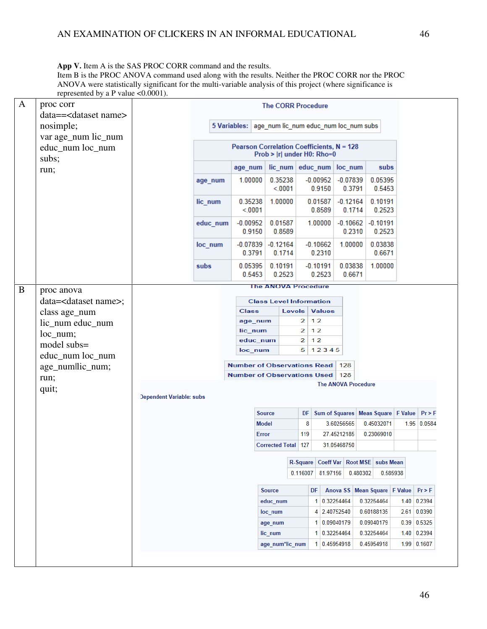#### App V. Item A is the SAS PROC CORR command and the results.

Item B is the PROC ANOVA command used along with the results. Neither the PROC CORR nor the PROC ANOVA were statistically significant for the multi-variable analysis of this project (where significance is represented by a P value  $\leq 0.0001$ ).

| A | proc corr                                        |                          |          |                                                    | <b>The CORR Procedure</b>    |                   |          |                                |             |                            |                      |                                |                                                 |
|---|--------------------------------------------------|--------------------------|----------|----------------------------------------------------|------------------------------|-------------------|----------|--------------------------------|-------------|----------------------------|----------------------|--------------------------------|-------------------------------------------------|
|   | data== <dataset name=""><br/>nosimple;</dataset> |                          |          | 5 Variables: age num lic num educ num loc num subs |                              |                   |          |                                |             |                            |                      |                                |                                                 |
|   | var age_num lic_num                              |                          |          |                                                    |                              |                   |          |                                |             |                            |                      |                                |                                                 |
|   | educ_num loc_num<br>subs;                        |                          |          | Pearson Correlation Coefficients, N = 128          |                              |                   |          | Prob >  r  under H0: Rho=0     |             |                            |                      |                                |                                                 |
|   | run;                                             |                          |          | age_num                                            |                              |                   |          | lic num educ num loc num       |             |                            | subs                 |                                |                                                 |
|   |                                                  |                          | age num  | 1.00000                                            |                              | 0.35238<br>< 0001 |          | $-0.00952$<br>0.9150           |             | $-0.07839$<br>0.3791       | 0.05395<br>0.5453    |                                |                                                 |
|   |                                                  |                          | lic_num  | 0.35238<br>< 0001                                  |                              | 1.00000           |          | 0.01587<br>0.8589              |             | $-0.12164$<br>0.1714       | 0.10191<br>0.2523    |                                |                                                 |
|   |                                                  |                          | educ num | $-0.00952$<br>0.9150                               |                              | 0.01587<br>0.8589 |          | 1.00000                        |             | $-0.10662$<br>0.2310       | $-0.10191$<br>0.2523 |                                |                                                 |
|   |                                                  |                          | loc_num  | $-0.07839$<br>0.3791                               | $-0.12164$                   | 0.1714            |          | $-0.10662$<br>0.2310           |             | 1.00000                    | 0.03838<br>0.6671    |                                |                                                 |
|   |                                                  |                          | subs     | 0.05395<br>0.5453                                  |                              | 0.10191<br>0.2523 |          | $-0.10191$<br>0.2523           |             | 0.03838<br>0.6671          | 1.00000              |                                |                                                 |
| B | proc anova                                       |                          |          |                                                    |                              |                   |          | <b>The ANOVA Procedure</b>     |             |                            |                      |                                |                                                 |
|   | data= <dataset name="">;</dataset>               |                          |          |                                                    |                              |                   |          | <b>Class Level Information</b> |             |                            |                      |                                |                                                 |
|   | class age_num                                    |                          |          | <b>Class</b>                                       |                              | Levels            |          | <b>Values</b>                  |             |                            |                      |                                |                                                 |
|   | lic_num educ_num                                 |                          |          | age_num                                            |                              |                   | 2        | 12                             |             |                            |                      |                                |                                                 |
|   | $loc_number$                                     |                          |          | lic_num                                            |                              |                   | 2        | 12                             |             |                            |                      |                                |                                                 |
|   | model subs=                                      |                          |          | educ_num<br>loc_num                                |                              |                   | 2<br>5   | 12<br>12345                    |             |                            |                      |                                |                                                 |
|   | educ_num loc_num                                 |                          |          | Number of Observations Read   128                  |                              |                   |          |                                |             |                            |                      |                                |                                                 |
|   | age_numllic_num;                                 |                          |          | Number of Observations Used                        |                              |                   |          |                                | 128         |                            |                      |                                |                                                 |
|   | run;<br>quit;                                    |                          |          |                                                    |                              |                   |          |                                |             | <b>The ANOVA Procedure</b> |                      |                                |                                                 |
|   |                                                  | Dependent Variable: subs |          |                                                    |                              |                   |          |                                |             |                            |                      |                                |                                                 |
|   |                                                  |                          |          |                                                    | <b>Source</b>                |                   | DF       |                                |             |                            |                      |                                | Sum of Squares   Mean Square   F Value   Pr > F |
|   |                                                  |                          |          |                                                    | <b>Model</b>                 |                   | 8        |                                | 3.60256565  |                            | 0.45032071           |                                | 1.95 0.0584                                     |
|   |                                                  |                          |          |                                                    | Error                        |                   | 119      |                                | 27.45212185 |                            | 0.23069010           |                                |                                                 |
|   |                                                  |                          |          |                                                    | <b>Corrected Total   127</b> |                   |          |                                | 31.05468750 |                            |                      |                                |                                                 |
|   |                                                  |                          |          |                                                    |                              |                   |          | R-Square Coeff Var             |             |                            | Root MSE   subs Mean |                                |                                                 |
|   |                                                  |                          |          |                                                    |                              |                   | 0.116007 | 81.97156                       |             | 0.480302                   |                      | 0.585938                       |                                                 |
|   |                                                  |                          |          |                                                    |                              |                   |          |                                |             |                            |                      |                                |                                                 |
|   |                                                  |                          |          |                                                    | <b>Source</b>                |                   |          | DF                             |             |                            |                      | Anova SS Mean Square   F Value | Pr > F                                          |
|   |                                                  |                          |          |                                                    | educ_num                     |                   |          | 1 0.32254464                   |             |                            | 0.32254464           |                                | $1.40$ 0.2394                                   |
|   |                                                  |                          |          |                                                    | loc_num                      |                   |          | 4                              | 2.40752540  |                            | 0.60188135           |                                | 2.61   0.0390                                   |
|   |                                                  |                          |          |                                                    | age_num                      |                   |          | 1                              | 0.09040179  |                            | 0.09040179           |                                | $0.39$ 0.5325                                   |
|   |                                                  |                          |          |                                                    | lic_num                      |                   |          | 1                              | 0.32254464  |                            | 0.32254464           |                                | $1.40$ 0.2394                                   |
|   |                                                  |                          |          |                                                    | age_num*lic_num              |                   |          | $\mathbf{1}$                   | 0.45954918  |                            | 0.45954918           |                                | $1.99$ 0.1607                                   |
|   |                                                  |                          |          |                                                    |                              |                   |          |                                |             |                            |                      |                                |                                                 |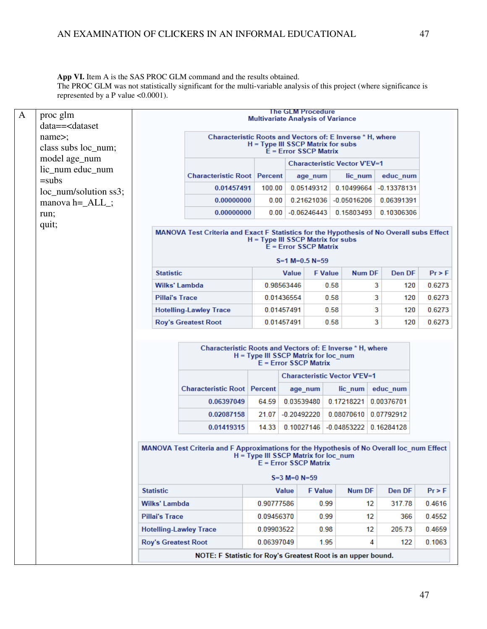**App VI.** Item A is the SAS PROC GLM command and the results obtained.

The PROC GLM was not statistically significant for the multi-variable analysis of this project (where significance is represented by a P value <0.0001).

| $\mathbf{A}$ | proc glm                                                          |                                        |                                                                                                                                                          | <b>Multivariate Analysis of Variance</b> |                          | <b>The GLM Procedure</b> |                                     |                                                     |                  |  |  |
|--------------|-------------------------------------------------------------------|----------------------------------------|----------------------------------------------------------------------------------------------------------------------------------------------------------|------------------------------------------|--------------------------|--------------------------|-------------------------------------|-----------------------------------------------------|------------------|--|--|
|              | data== <dataset<br>name&gt;;<br/>class subs loc_num;</dataset<br> |                                        | Characteristic Roots and Vectors of: E Inverse * H, where                                                                                                | H = Type III SSCP Matrix for subs        |                          | $E = Error$ SSCP Matrix  |                                     |                                                     |                  |  |  |
|              | model age_num                                                     |                                        |                                                                                                                                                          |                                          |                          |                          | <b>Characteristic Vector V'EV=1</b> |                                                     |                  |  |  |
|              | lic_num educ_num<br>$=$ subs                                      |                                        | <b>Characteristic Root   Percent</b>                                                                                                                     |                                          |                          | age_num                  | lic_num                             | educ_num                                            |                  |  |  |
|              | loc_num/solution ss3;                                             |                                        | 0.01457491                                                                                                                                               | 100.00                                   |                          | 0.05149312               | 0.10499664                          | $-0.13378131$                                       |                  |  |  |
|              | manova $h = ALL$ ;                                                |                                        | 0.00000000                                                                                                                                               | 0.00                                     |                          | 0.21621036               | $-0.05016206$                       | 0.06391391                                          |                  |  |  |
|              | run;                                                              |                                        | 0.00000000                                                                                                                                               | 0.00                                     |                          | $-0.06246443$            | 0.15803493                          | 0.10306306                                          |                  |  |  |
|              | quit;                                                             |                                        | MANOVA Test Criteria and Exact F Statistics for the Hypothesis of No Overall subs Effect<br>H = Type III SSCP Matrix for subs<br>$E = Error$ SSCP Matrix |                                          |                          |                          |                                     |                                                     |                  |  |  |
|              |                                                                   |                                        |                                                                                                                                                          |                                          |                          | $S=1$ M=0.5 N=59         |                                     |                                                     |                  |  |  |
|              |                                                                   | <b>Statistic</b>                       |                                                                                                                                                          |                                          | <b>Value</b>             | <b>F</b> Value           | <b>Num DF</b>                       | Den DF                                              | Pr > F           |  |  |
|              |                                                                   | Wilks' Lambda<br><b>Pillai's Trace</b> |                                                                                                                                                          |                                          | 0.98563446<br>0.01436554 | 0.58<br>0.58             |                                     | 3<br>120<br>3<br>120                                | 0.6273<br>0.6273 |  |  |
|              |                                                                   |                                        | <b>Hotelling-Lawley Trace</b>                                                                                                                            |                                          | 0.01457491               | 0.58                     |                                     | 3<br>120                                            | 0.6273           |  |  |
|              |                                                                   |                                        | <b>Roy's Greatest Root</b>                                                                                                                               |                                          | 0.01457491               | 0.58                     |                                     | 3<br>120                                            | 0.6273           |  |  |
|              |                                                                   |                                        | Characteristic Roots and Vectors of: E Inverse * H, where                                                                                                | H = Type III SSCP Matrix for loc_num     |                          |                          |                                     |                                                     |                  |  |  |
|              |                                                                   |                                        |                                                                                                                                                          |                                          |                          | $E = Error$ SSCP Matrix  |                                     |                                                     |                  |  |  |
|              |                                                                   |                                        |                                                                                                                                                          |                                          |                          |                          | <b>Characteristic Vector V'EV=1</b> |                                                     |                  |  |  |
|              |                                                                   |                                        | <b>Characteristic Root   Percent</b>                                                                                                                     |                                          |                          | age_num                  | lic num                             | educ_num                                            |                  |  |  |
|              |                                                                   |                                        | 0.06397049                                                                                                                                               | 64.59                                    | 0.03539480               |                          | 0.17218221                          | 0.00376701                                          |                  |  |  |
|              |                                                                   |                                        | 0.02087158<br>0.01419315                                                                                                                                 | 21.07<br>14.33                           | -0.20492220              |                          | 0.08070610                          | 0.07792912<br>$0.10027146$ $-0.04853222$ 0.16284128 |                  |  |  |
|              |                                                                   |                                        |                                                                                                                                                          |                                          |                          |                          |                                     |                                                     |                  |  |  |
|              |                                                                   |                                        | MANOVA Test Criteria and F Approximations for the Hypothesis of No Overall loc_num Effect                                                                | H = Type III SSCP Matrix for loc num     |                          | $E = Error$ SSCP Matrix  |                                     |                                                     |                  |  |  |
|              |                                                                   |                                        |                                                                                                                                                          |                                          | $S=3 M=0 N=59$           |                          |                                     |                                                     |                  |  |  |
|              |                                                                   | <b>Statistic</b>                       |                                                                                                                                                          |                                          | <b>Value</b>             | <b>F</b> Value           | <b>Num DF</b>                       | <b>Den DF</b>                                       | $Pr$ > F         |  |  |
|              |                                                                   | <b>Wilks' Lambda</b>                   |                                                                                                                                                          | 0.90777586                               |                          | 0.99                     | 12                                  | 317.78                                              | 0.4616           |  |  |
|              |                                                                   | <b>Pillai's Trace</b>                  |                                                                                                                                                          | 0.09456370                               |                          | 0.99                     | 12                                  | 366                                                 | 0.4552           |  |  |
|              |                                                                   | <b>Hotelling-Lawley Trace</b>          |                                                                                                                                                          | 0.09903522                               |                          | 0.98                     | 12                                  | 205.73                                              | 0.4659           |  |  |
|              |                                                                   | <b>Roy's Greatest Root</b>             |                                                                                                                                                          | 0.06397049                               |                          | 1.95                     |                                     | 4<br>122                                            | 0.1063           |  |  |
|              |                                                                   |                                        | NOTE: F Statistic for Roy's Greatest Root is an upper bound.                                                                                             |                                          |                          |                          |                                     |                                                     |                  |  |  |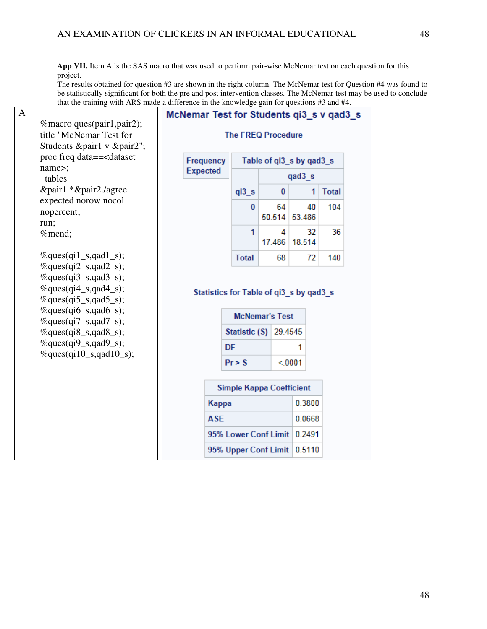**App VII.** Item A is the SAS macro that was used to perform pair-wise McNemar test on each question for this project.

The results obtained for question #3 are shown in the right column. The McNemar test for Question #4 was found to be statistically significant for both the pre and post intervention classes. The McNemar test may be used to conclude that the training with ARS made a difference in the knowledge gain for questions #3 and #4.

| A |                                                                                                                      | McNemar Test for Students qi3_s v qad3_s |            |                                         |             |              |              |  |  |  |  |
|---|----------------------------------------------------------------------------------------------------------------------|------------------------------------------|------------|-----------------------------------------|-------------|--------------|--------------|--|--|--|--|
|   | % macro ques(pair1, pair2);                                                                                          |                                          |            |                                         |             |              |              |  |  |  |  |
|   | title "McNemar Test for                                                                                              | <b>The FREQ Procedure</b>                |            |                                         |             |              |              |  |  |  |  |
|   | Students &pair1 v &pair2";                                                                                           |                                          |            |                                         |             |              |              |  |  |  |  |
|   | proc freq data== <dataset< td=""><td>Frequency</td><td></td><td colspan="8">Table of qi3 s by qad3 s</td></dataset<> | Frequency                                |            | Table of qi3 s by qad3 s                |             |              |              |  |  |  |  |
|   | name>;<br>tables                                                                                                     | <b>Expected</b>                          |            |                                         |             | qad3 s       |              |  |  |  |  |
|   | &pair1.*&pair2./agree                                                                                                |                                          |            |                                         | $\bf{0}$    | 1            | <b>Total</b> |  |  |  |  |
|   | expected norow nocol                                                                                                 |                                          |            | q <sub>i</sub> 3 <sub>s</sub>           |             |              |              |  |  |  |  |
|   | nopercent;                                                                                                           |                                          |            | $\bf{0}$                                | 64          | 40           | 104          |  |  |  |  |
|   | run;                                                                                                                 |                                          |            |                                         | 50.514      | 53.486       |              |  |  |  |  |
|   | %mend;                                                                                                               |                                          |            | 1                                       | 4<br>17.486 | 32<br>18.514 | 36           |  |  |  |  |
|   | $\%$ ques(qi1_s,qad1_s);                                                                                             |                                          |            | <b>Total</b>                            | 68          | 72           | 140          |  |  |  |  |
|   | $\%$ ques(qi2_s,qad2_s);                                                                                             |                                          |            |                                         |             |              |              |  |  |  |  |
|   | $%ques(qi3_s, qad3_s);$                                                                                              |                                          |            |                                         |             |              |              |  |  |  |  |
|   | $\%$ ques(qi4_s,qad4_s);                                                                                             |                                          |            | Statistics for Table of qi3_s by qad3_s |             |              |              |  |  |  |  |
|   | $\%$ ques(qi5_s,qad5_s);                                                                                             |                                          |            |                                         |             |              |              |  |  |  |  |
|   | %ques(qi6_s,qad6_s);<br>$\%$ ques(qi7_s,qad7_s);                                                                     |                                          |            | <b>McNemar's Test</b>                   |             |              |              |  |  |  |  |
|   | $%ques(qi8_s, qad8_s);$                                                                                              |                                          |            | Statistic (S) 29.4545                   |             |              |              |  |  |  |  |
|   | $%ques(qi9_s, qad9_s);$                                                                                              |                                          |            | DF                                      |             | 1            |              |  |  |  |  |
|   | $\%$ ques(qi10_s,qad10_s);                                                                                           |                                          |            |                                         |             |              |              |  |  |  |  |
|   |                                                                                                                      |                                          |            | Pr > S                                  |             | < 0001       |              |  |  |  |  |
|   |                                                                                                                      |                                          |            |                                         |             |              |              |  |  |  |  |
|   |                                                                                                                      |                                          |            | <b>Simple Kappa Coefficient</b>         |             |              |              |  |  |  |  |
|   |                                                                                                                      |                                          | Kappa      |                                         |             | 0.3800       |              |  |  |  |  |
|   |                                                                                                                      |                                          | <b>ASE</b> |                                         |             | 0.0668       |              |  |  |  |  |
|   |                                                                                                                      |                                          |            | 95% Lower Conf Limit                    |             | 0.2491       |              |  |  |  |  |
|   |                                                                                                                      |                                          |            |                                         |             | 0.5110       |              |  |  |  |  |
|   |                                                                                                                      | 95% Upper Conf Limit                     |            |                                         |             |              |              |  |  |  |  |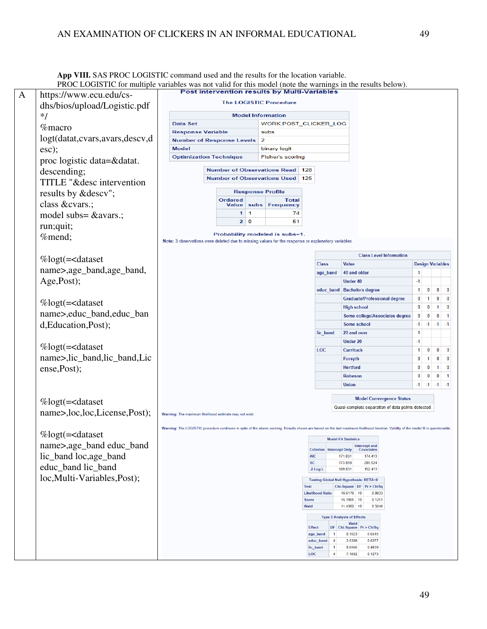PROC LOGISTIC for multiple variables was not valid for this model (note the warnings in the results below). A https://www.ecu.edu/cs-The LOGISTIC Procedure dhs/bios/upload/Logistic.pdf **Model Information** \*/ Data Set WORK.POST\_CLICKER\_LOG %macro **Response Variable** subs logt(datat,cvars,avars,descv,d **Number of Response Levels**  $\overline{2}$ esc); **Model** binary logit **Optimization Technique** Fisher's scoring proc logistic data=&datat. Number of Observations Read 128 descending; Number of Observations Used 125 TITLE "&desc intervention results by &descv"; **Response Profile** Ordered **Total** class &cvars.; **Frequency** Value subs.  $\overline{1}$  $\overline{1}$  $74$ model subs= &avars.;  $2<sup>0</sup>$ 51 run;quit; Probability modeled is subs=1. %mend; Note: 3 observations were deleted due to missing values for the response or explanatory variables. Class Level Information %logt(=<dataset Class Value **Design Variables** name>,age\_band,age\_band, age\_band 40 and older  $\mathbf{1}$ Age,Post);  $-1$ Under 40  $\overline{1}$  $\overline{\mathbf{0}}$  $\overline{\mathbf{0}}$ educ\_band Bachelors degree  $\overline{0}$ **Graduate/Professional degree**  $\pmb{0}$  $\mathbf{1}$  $\bullet$  $\overline{\mathbf{0}}$ %logt(=<dataset **High school**  $\overline{\mathbf{0}}$  $\overline{\mathbf{0}}$  $\overline{1}$  $\overline{\mathbf{0}}$ name>,educ\_band,educ\_ban Some college/Associates degree  $\mathbf{0}$  $\overline{0}$  $\mathbf{0}$  $\overline{1}$ d,Education,Post); Some school  $-1$  $-1$   $-1$  $-1$ 20 and over  $\overline{1}$ lic band Under 20  $-1$ %logt(=<dataset LOC Currituck  $\overline{1}$  $\mathbf{0}$  $\overline{0}$  $\overline{0}$ name>,lic\_band,lic\_band,Lic  $\pmb{\mathfrak{g}}$  $\overline{1}$  $\overline{0}$ Forsyth  $\overline{\mathbf{0}}$  $\overline{\mathbf{0}}$ Hertford  $\overline{0}$  $\blacksquare$  $\overline{0}$ ense,Post); Robeson  $\overline{\mathbf{0}}$  $0$  0  $\overline{1}$ Union  $-1$   $-1$   $-1$   $-1$ **Model Convergence Status** %logt(=<dataset Quasi-complete separation of data points detected. name>,loc,loc,License,Post); Warning: The maximum likelihood estimate may not exist Warning: The LOGISTIC procedure continues in spite of the above warning. Results shown are based on the last maximum likelihood iteration. Validity of the model fit is questionable. %logt(=<dataset **Model Fit Statistics** name>,age\_band educ\_band Intercept and<br>Covariates Criterion Intercept Only lic\_band loc,age\_band **AIC** 171.031 174.413  $\overline{\mathbf{c}^{\mathcal{C}}}$ 173.859 205.524 educ\_band lic\_band -2 Log L 169.031 152.413 loc,Multi-Variables,Post); Testing Global Null Hypothesis: BETA=0 Chi-Square DF Pr > ChiSq Test **Likelihood Ratio** 16.6176 10  $0.0833$ 15.1955 10  $0.1251$ Score  $11.4352$  10 0.3246 Wald **Type 3 Analysis of Effects Wald** DF Chi-Square  $Pr$  > ChiSq **Effect** age\_band  $\overline{1}$  $0.1923$ 0.6610 educ\_band  $\overline{A}$ 2.5388 0.6377 0.6966  $0.4039$ lic\_band LOC  $\overline{4}$ 7.1682  $0.1273$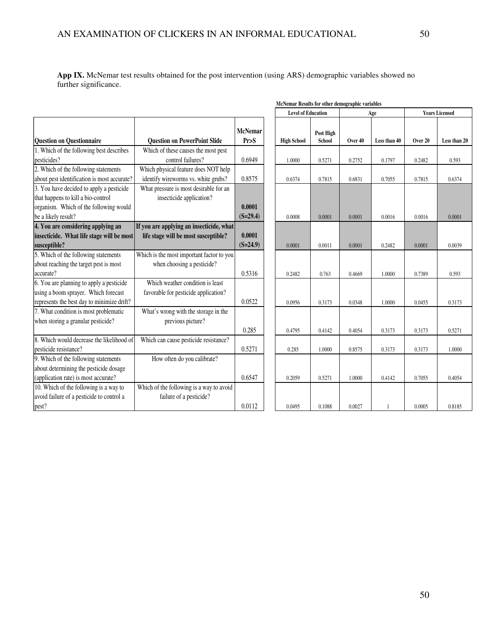**App IX.** McNemar test results obtained for the post intervention (using ARS) demographic variables showed no further significance.

|                                                                                                                                                 |                                                                    |                        | <b>Level of Education</b> |                            | Age     |              | <b>Years Licensed</b> |              |  |
|-------------------------------------------------------------------------------------------------------------------------------------------------|--------------------------------------------------------------------|------------------------|---------------------------|----------------------------|---------|--------------|-----------------------|--------------|--|
| <b>Question on Questionnaire</b>                                                                                                                | <b>Question on PowerPoint Slide</b>                                | <b>McNemar</b><br>Pr>S | <b>High School</b>        | Post High<br><b>School</b> | Over 40 | Less than 40 | Over 20               | Less than 20 |  |
| 1. Which of the following best describes                                                                                                        | Which of these causes the most pest                                |                        |                           |                            |         |              |                       |              |  |
| pesticides?                                                                                                                                     | control failures?                                                  | 0.6949                 | 1.0000                    | 0.5271                     | 0.2752  | 0.1797       | 0.2482                | 0.593        |  |
| 2. Which of the following statements                                                                                                            | Which physical feature does NOT help                               |                        |                           |                            |         |              |                       |              |  |
| about pest identification is most accurate?                                                                                                     | identify wireworms vs. white grubs?                                | 0.8575                 | 0.6374                    | 0.7815                     | 0.6831  | 0.7055       | 0.7815                | 0.6374       |  |
| 3. You have decided to apply a pesticide<br>that happens to kill a bio-control<br>organism. Which of the following would<br>be a likely result? | What pressure is most desirable for an<br>insecticide application? | 0.0001<br>$(S=29.4)$   | 0.0008                    | 0.0001                     | 0.0001  | 0.0016       | 0.0016                | 0.0001       |  |
| 4. You are considering applying an                                                                                                              | If you are applying an insecticide, what                           |                        |                           |                            |         |              |                       |              |  |
| insecticide. What life stage will be most<br>susceptible?                                                                                       | life stage will be most susceptible?                               | 0.0001<br>$(S=24.9)$   | 0.0001                    | 0.0011                     | 0.0001  | 0.2482       | 0.0001                | 0.0039       |  |
| 5. Which of the following statements                                                                                                            | Which is the most important factor to you                          |                        |                           |                            |         |              |                       |              |  |
| about reaching the target pest is most                                                                                                          | when choosing a pesticide?                                         |                        |                           |                            |         |              |                       |              |  |
| accurate?                                                                                                                                       |                                                                    | 0.5316                 | 0.2482                    | 0.763                      | 0.4669  | 1.0000       | 0.7389                | 0.593        |  |
| 6. You are planning to apply a pesticide                                                                                                        | Which weather condition is least                                   |                        |                           |                            |         |              |                       |              |  |
| using a boom sprayer. Which forecast                                                                                                            | favorable for pesticide application?                               |                        |                           |                            |         |              |                       |              |  |
| represents the best day to minimize drift?                                                                                                      |                                                                    | 0.0522                 | 0.0956                    | 0.3173                     | 0.0348  | 1.0000       | 0.0455                | 0.3173       |  |
| 7. What condition is most problematic                                                                                                           | What's wrong with the storage in the                               |                        |                           |                            |         |              |                       |              |  |
| when storing a granular pesticide?                                                                                                              | previous picture?                                                  |                        |                           |                            |         |              |                       |              |  |
|                                                                                                                                                 |                                                                    | 0.285                  | 0.4795                    | 0.4142                     | 0.4054  | 0.3173       | 0.3173                | 0.5271       |  |
| 8. Which would decrease the likelihood of                                                                                                       | Which can cause pesticide resistance?                              |                        |                           |                            |         |              |                       |              |  |
| pesticide resistance?                                                                                                                           |                                                                    | 0.5271                 | 0.285                     | 1.0000                     | 0.8575  | 0.3173       | 0.3173                | 1.0000       |  |
| 9. Which of the following statements                                                                                                            | How often do you calibrate?                                        |                        |                           |                            |         |              |                       |              |  |
| about determining the pesticide dosage                                                                                                          |                                                                    |                        |                           |                            |         |              |                       |              |  |
| (application rate) is most accurate?                                                                                                            |                                                                    | 0.6547                 | 0.2059                    | 0.5271                     | 1.0000  | 0.4142       | 0.7055                | 0.4054       |  |
| 10. Which of the following is a way to                                                                                                          | Which of the following is a way to avoid                           |                        |                           |                            |         |              |                       |              |  |
| avoid failure of a pesticide to control a                                                                                                       | failure of a pesticide?                                            |                        |                           |                            |         |              |                       |              |  |
| pest?                                                                                                                                           |                                                                    | 0.0112                 | 0.0495                    | 0.1088                     | 0.0027  |              | 0.0005                | 0.8185       |  |